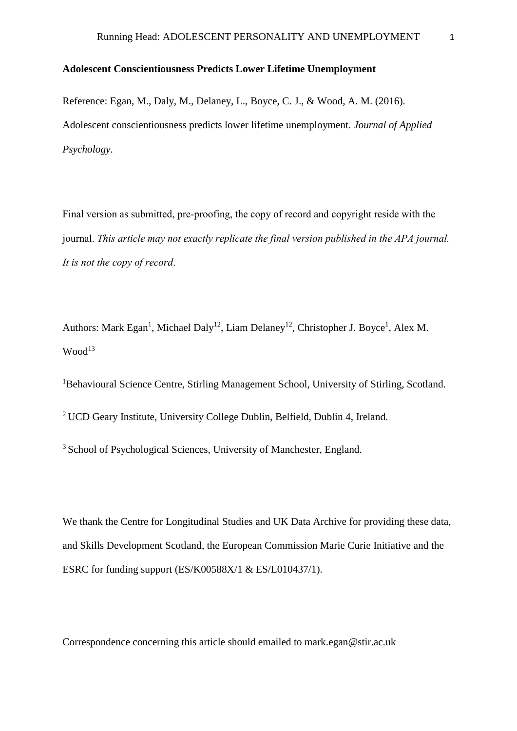# **Adolescent Conscientiousness Predicts Lower Lifetime Unemployment**

Reference: Egan, M., Daly, M., Delaney, L., Boyce, C. J., & Wood, A. M. (2016). Adolescent conscientiousness predicts lower lifetime unemployment. *Journal of Applied Psychology*.

Final version as submitted, pre-proofing, the copy of record and copyright reside with the journal. *This article may not exactly replicate the final version published in the APA journal. It is not the copy of record*.

Authors: Mark Egan<sup>1</sup>, Michael Daly<sup>12</sup>, Liam Delaney<sup>12</sup>, Christopher J. Boyce<sup>1</sup>, Alex M.  $Wood<sup>13</sup>$ 

<sup>1</sup>Behavioural Science Centre, Stirling Management School, University of Stirling, Scotland.

<sup>2</sup> UCD Geary Institute, University College Dublin, Belfield, Dublin 4, Ireland.

<sup>3</sup> School of Psychological Sciences, University of Manchester, England.

We thank the Centre for Longitudinal Studies and UK Data Archive for providing these data, and Skills Development Scotland, the European Commission Marie Curie Initiative and the ESRC for funding support (ES/K00588X/1 & ES/L010437/1).

Correspondence concerning this article should emailed to mark.egan@stir.ac.uk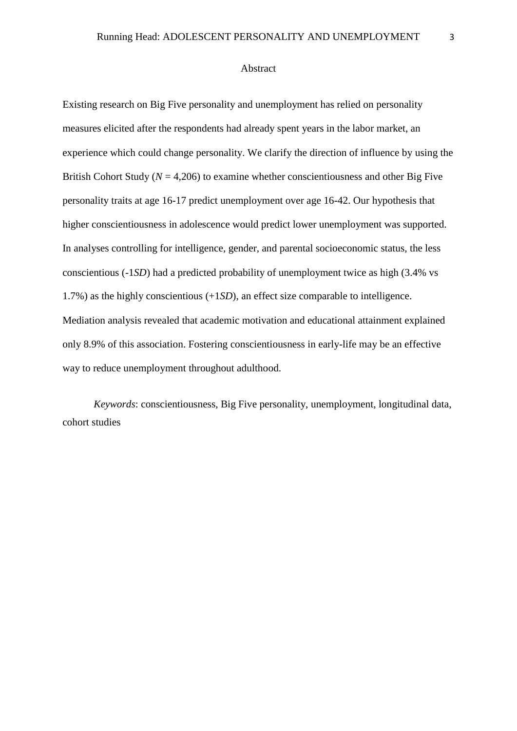### Abstract

Existing research on Big Five personality and unemployment has relied on personality measures elicited after the respondents had already spent years in the labor market, an experience which could change personality. We clarify the direction of influence by using the British Cohort Study ( $N = 4,206$ ) to examine whether conscientiousness and other Big Five personality traits at age 16-17 predict unemployment over age 16-42. Our hypothesis that higher conscientiousness in adolescence would predict lower unemployment was supported. In analyses controlling for intelligence, gender, and parental socioeconomic status, the less conscientious (-1*SD*) had a predicted probability of unemployment twice as high (3.4% vs 1.7%) as the highly conscientious (+1*SD*), an effect size comparable to intelligence. Mediation analysis revealed that academic motivation and educational attainment explained only 8.9% of this association. Fostering conscientiousness in early-life may be an effective way to reduce unemployment throughout adulthood.

*Keywords*: conscientiousness, Big Five personality, unemployment, longitudinal data, cohort studies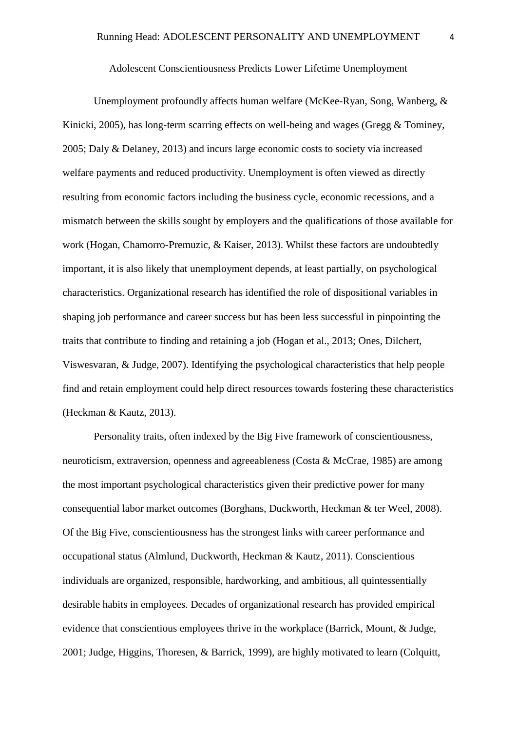Adolescent Conscientiousness Predicts Lower Lifetime Unemployment

Unemployment profoundly affects human welfare (McKee-Ryan, Song, Wanberg, & Kinicki, 2005), has long-term scarring effects on well-being and wages (Gregg & Tominey, 2005; Daly & Delaney, 2013) and incurs large economic costs to society via increased welfare payments and reduced productivity. Unemployment is often viewed as directly resulting from economic factors including the business cycle, economic recessions, and a mismatch between the skills sought by employers and the qualifications of those available for work (Hogan, Chamorro-Premuzic, & Kaiser, 2013). Whilst these factors are undoubtedly important, it is also likely that unemployment depends, at least partially, on psychological characteristics. Organizational research has identified the role of dispositional variables in shaping job performance and career success but has been less successful in pinpointing the traits that contribute to finding and retaining a job (Hogan et al., 2013; Ones, Dilchert, Viswesvaran, & Judge, 2007). Identifying the psychological characteristics that help people find and retain employment could help direct resources towards fostering these characteristics (Heckman & Kautz, 2013).

Personality traits, often indexed by the Big Five framework of conscientiousness, neuroticism, extraversion, openness and agreeableness (Costa & McCrae, 1985) are among the most important psychological characteristics given their predictive power for many consequential labor market outcomes (Borghans, Duckworth, Heckman & ter Weel, 2008). Of the Big Five, conscientiousness has the strongest links with career performance and occupational status (Almlund, Duckworth, Heckman & Kautz, 2011). Conscientious individuals are organized, responsible, hardworking, and ambitious, all quintessentially desirable habits in employees. Decades of organizational research has provided empirical evidence that conscientious employees thrive in the workplace (Barrick, Mount, & Judge, 2001; Judge, Higgins, Thoresen, & Barrick, 1999), are highly motivated to learn (Colquitt,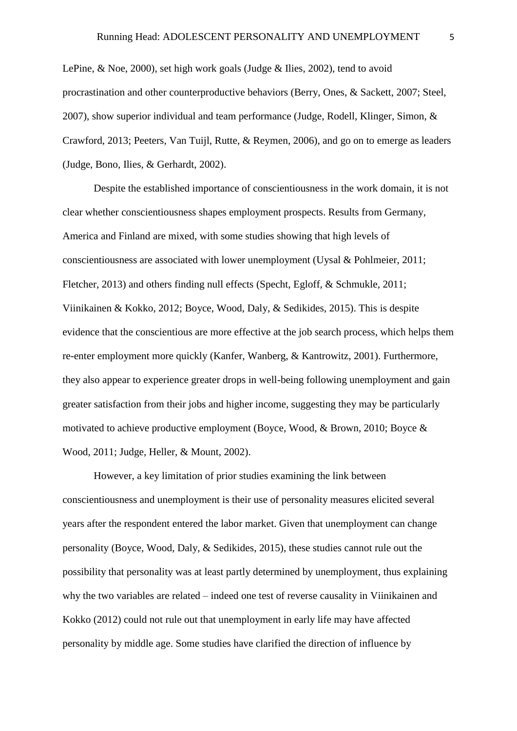LePine, & Noe, 2000), set high work goals (Judge & Ilies, 2002), tend to avoid procrastination and other counterproductive behaviors (Berry, Ones, & Sackett, 2007; Steel, 2007), show superior individual and team performance (Judge, Rodell, Klinger, Simon, & Crawford, 2013; Peeters, Van Tuijl, Rutte, & Reymen, 2006), and go on to emerge as leaders (Judge, Bono, Ilies, & Gerhardt, 2002).

Despite the established importance of conscientiousness in the work domain, it is not clear whether conscientiousness shapes employment prospects. Results from Germany, America and Finland are mixed, with some studies showing that high levels of conscientiousness are associated with lower unemployment (Uysal & Pohlmeier, 2011; Fletcher, 2013) and others finding null effects (Specht, Egloff, & Schmukle, 2011; Viinikainen & Kokko, 2012; Boyce, Wood, Daly, & Sedikides, 2015). This is despite evidence that the conscientious are more effective at the job search process, which helps them re-enter employment more quickly (Kanfer, Wanberg, & Kantrowitz, 2001). Furthermore, they also appear to experience greater drops in well-being following unemployment and gain greater satisfaction from their jobs and higher income, suggesting they may be particularly motivated to achieve productive employment (Boyce, Wood, & Brown, 2010; Boyce & Wood, 2011; Judge, Heller, & Mount, 2002).

However, a key limitation of prior studies examining the link between conscientiousness and unemployment is their use of personality measures elicited several years after the respondent entered the labor market. Given that unemployment can change personality (Boyce, Wood, Daly, & Sedikides, 2015), these studies cannot rule out the possibility that personality was at least partly determined by unemployment, thus explaining why the two variables are related – indeed one test of reverse causality in Viinikainen and Kokko (2012) could not rule out that unemployment in early life may have affected personality by middle age. Some studies have clarified the direction of influence by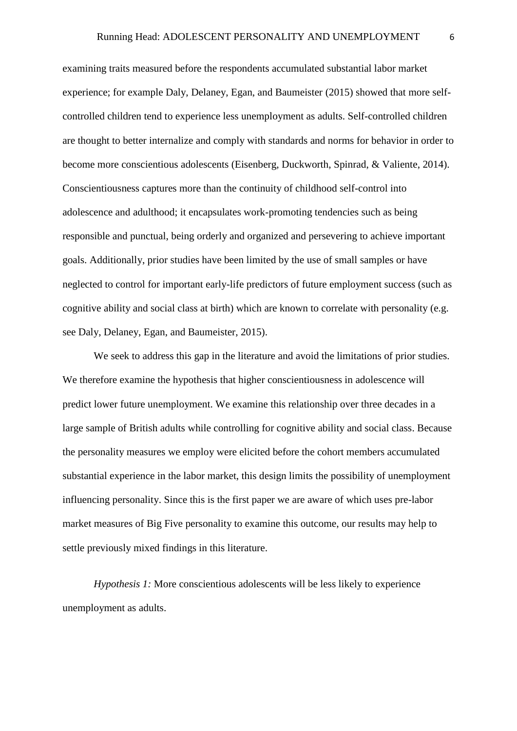examining traits measured before the respondents accumulated substantial labor market experience; for example Daly, Delaney, Egan, and Baumeister (2015) showed that more selfcontrolled children tend to experience less unemployment as adults. Self-controlled children are thought to better internalize and comply with standards and norms for behavior in order to become more conscientious adolescents (Eisenberg, Duckworth, Spinrad, & Valiente, 2014). Conscientiousness captures more than the continuity of childhood self-control into adolescence and adulthood; it encapsulates work-promoting tendencies such as being responsible and punctual, being orderly and organized and persevering to achieve important goals. Additionally, prior studies have been limited by the use of small samples or have neglected to control for important early-life predictors of future employment success (such as cognitive ability and social class at birth) which are known to correlate with personality (e.g. see Daly, Delaney, Egan, and Baumeister, 2015).

We seek to address this gap in the literature and avoid the limitations of prior studies. We therefore examine the hypothesis that higher conscientiousness in adolescence will predict lower future unemployment. We examine this relationship over three decades in a large sample of British adults while controlling for cognitive ability and social class. Because the personality measures we employ were elicited before the cohort members accumulated substantial experience in the labor market, this design limits the possibility of unemployment influencing personality. Since this is the first paper we are aware of which uses pre-labor market measures of Big Five personality to examine this outcome, our results may help to settle previously mixed findings in this literature.

*Hypothesis 1:* More conscientious adolescents will be less likely to experience unemployment as adults.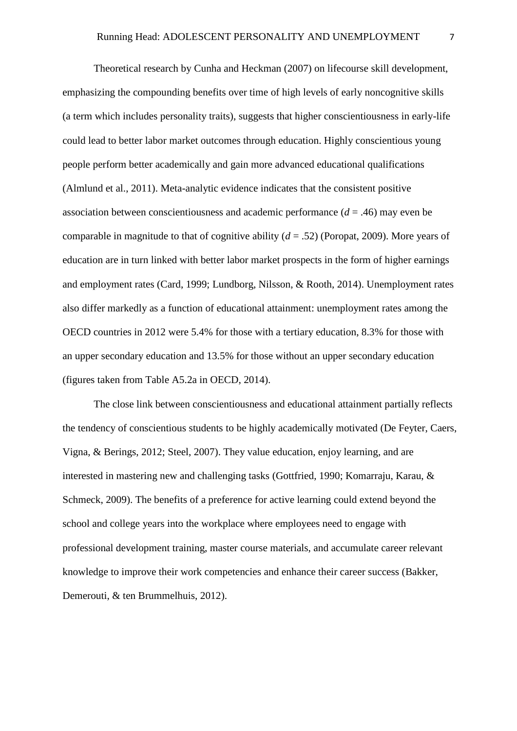Theoretical research by Cunha and Heckman (2007) on lifecourse skill development, emphasizing the compounding benefits over time of high levels of early noncognitive skills (a term which includes personality traits), suggests that higher conscientiousness in early-life could lead to better labor market outcomes through education. Highly conscientious young people perform better academically and gain more advanced educational qualifications (Almlund et al., 2011). Meta-analytic evidence indicates that the consistent positive association between conscientiousness and academic performance  $(d = .46)$  may even be comparable in magnitude to that of cognitive ability (*d* = .52) (Poropat, 2009). More years of education are in turn linked with better labor market prospects in the form of higher earnings and employment rates (Card, 1999; Lundborg, Nilsson, & Rooth, 2014). Unemployment rates also differ markedly as a function of educational attainment: unemployment rates among the OECD countries in 2012 were 5.4% for those with a tertiary education, 8.3% for those with an upper secondary education and 13.5% for those without an upper secondary education (figures taken from Table A5.2a in OECD, 2014).

The close link between conscientiousness and educational attainment partially reflects the tendency of conscientious students to be highly academically motivated (De Feyter, Caers, Vigna, & Berings, 2012; Steel, 2007). They value education, enjoy learning, and are interested in mastering new and challenging tasks (Gottfried, 1990; Komarraju, Karau, & Schmeck, 2009). The benefits of a preference for active learning could extend beyond the school and college years into the workplace where employees need to engage with professional development training, master course materials, and accumulate career relevant knowledge to improve their work competencies and enhance their career success (Bakker, Demerouti, & ten Brummelhuis, 2012).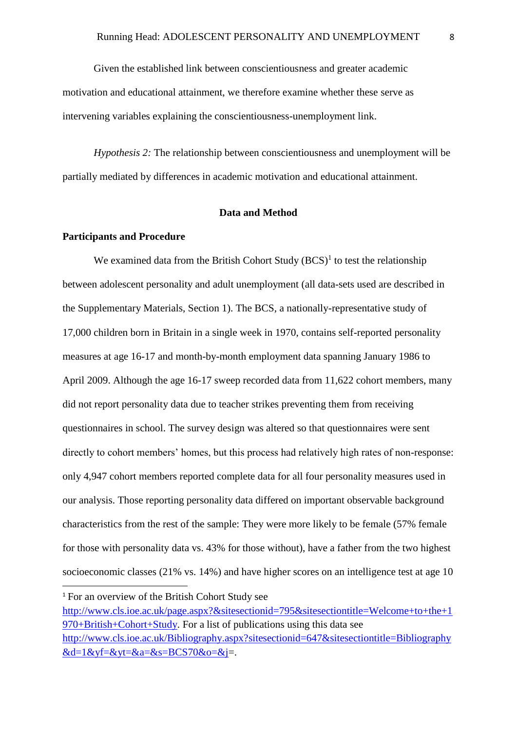Given the established link between conscientiousness and greater academic motivation and educational attainment, we therefore examine whether these serve as intervening variables explaining the conscientiousness-unemployment link.

*Hypothesis 2:* The relationship between conscientiousness and unemployment will be partially mediated by differences in academic motivation and educational attainment.

### **Data and Method**

# **Participants and Procedure**

**.** 

We examined data from the British Cohort Study  $(BCS)^1$  to test the relationship between adolescent personality and adult unemployment (all data-sets used are described in the Supplementary Materials, Section 1). The BCS, a nationally-representative study of 17,000 children born in Britain in a single week in 1970, contains self-reported personality measures at age 16-17 and month-by-month employment data spanning January 1986 to April 2009. Although the age 16-17 sweep recorded data from 11,622 cohort members, many did not report personality data due to teacher strikes preventing them from receiving questionnaires in school. The survey design was altered so that questionnaires were sent directly to cohort members' homes, but this process had relatively high rates of non-response: only 4,947 cohort members reported complete data for all four personality measures used in our analysis. Those reporting personality data differed on important observable background characteristics from the rest of the sample: They were more likely to be female (57% female for those with personality data vs. 43% for those without), have a father from the two highest socioeconomic classes (21% vs. 14%) and have higher scores on an intelligence test at age 10

<sup>1</sup> For an overview of the British Cohort Study see [http://www.cls.ioe.ac.uk/page.aspx?&sitesectionid=795&sitesectiontitle=Welcome+to+the+1](http://www.cls.ioe.ac.uk/page.aspx?&sitesectionid=795&sitesectiontitle=Welcome+to+the+1970+British+Cohort+Study) [970+British+Cohort+Study.](http://www.cls.ioe.ac.uk/page.aspx?&sitesectionid=795&sitesectiontitle=Welcome+to+the+1970+British+Cohort+Study) For a list of publications using this data see [http://www.cls.ioe.ac.uk/Bibliography.aspx?sitesectionid=647&sitesectiontitle=Bibliography](http://www.cls.ioe.ac.uk/Bibliography.aspx?sitesectionid=647&sitesectiontitle=Bibliography&d=1&yf=&yt=&a=&s=BCS70&o=&j)  $&d=1&vf=\&v = \&a = \&s = BCS70&o = \&i =$ .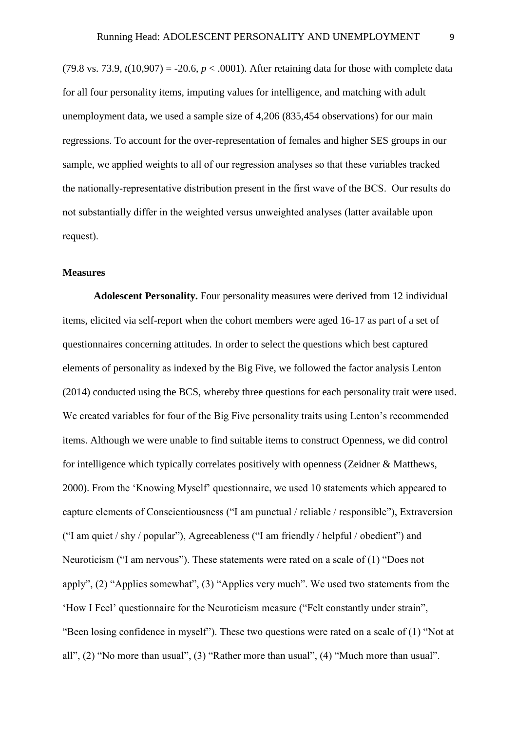(79.8 vs. 73.9,  $t(10,907) = -20.6$ ,  $p < .0001$ ). After retaining data for those with complete data for all four personality items, imputing values for intelligence, and matching with adult unemployment data, we used a sample size of 4,206 (835,454 observations) for our main regressions. To account for the over-representation of females and higher SES groups in our sample, we applied weights to all of our regression analyses so that these variables tracked the nationally-representative distribution present in the first wave of the BCS. Our results do not substantially differ in the weighted versus unweighted analyses (latter available upon request).

## **Measures**

**Adolescent Personality.** Four personality measures were derived from 12 individual items, elicited via self-report when the cohort members were aged 16-17 as part of a set of questionnaires concerning attitudes. In order to select the questions which best captured elements of personality as indexed by the Big Five, we followed the factor analysis Lenton (2014) conducted using the BCS, whereby three questions for each personality trait were used. We created variables for four of the Big Five personality traits using Lenton's recommended items. Although we were unable to find suitable items to construct Openness, we did control for intelligence which typically correlates positively with openness (Zeidner & Matthews, 2000). From the 'Knowing Myself' questionnaire, we used 10 statements which appeared to capture elements of Conscientiousness ("I am punctual / reliable / responsible"), Extraversion ("I am quiet / shy / popular"), Agreeableness ("I am friendly / helpful / obedient") and Neuroticism ("I am nervous"). These statements were rated on a scale of (1) "Does not apply", (2) "Applies somewhat", (3) "Applies very much". We used two statements from the 'How I Feel' questionnaire for the Neuroticism measure ("Felt constantly under strain", "Been losing confidence in myself"). These two questions were rated on a scale of (1) "Not at all", (2) "No more than usual", (3) "Rather more than usual", (4) "Much more than usual".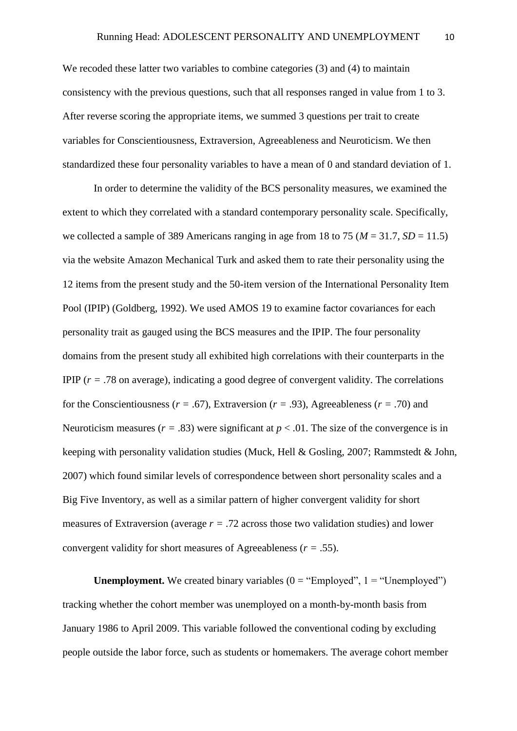We recoded these latter two variables to combine categories (3) and (4) to maintain consistency with the previous questions, such that all responses ranged in value from 1 to 3. After reverse scoring the appropriate items, we summed 3 questions per trait to create variables for Conscientiousness, Extraversion, Agreeableness and Neuroticism. We then standardized these four personality variables to have a mean of 0 and standard deviation of 1.

In order to determine the validity of the BCS personality measures, we examined the extent to which they correlated with a standard contemporary personality scale. Specifically, we collected a sample of 389 Americans ranging in age from 18 to 75 ( $M = 31.7$ ,  $SD = 11.5$ ) via the website Amazon Mechanical Turk and asked them to rate their personality using the 12 items from the present study and the 50-item version of the International Personality Item Pool (IPIP) (Goldberg, 1992). We used AMOS 19 to examine factor covariances for each personality trait as gauged using the BCS measures and the IPIP. The four personality domains from the present study all exhibited high correlations with their counterparts in the IPIP  $(r = .78$  on average), indicating a good degree of convergent validity. The correlations for the Conscientiousness ( $r = .67$ ), Extraversion ( $r = .93$ ), Agreeableness ( $r = .70$ ) and Neuroticism measures ( $r = .83$ ) were significant at  $p < .01$ . The size of the convergence is in keeping with personality validation studies (Muck, Hell & Gosling, 2007; Rammstedt & John, 2007) which found similar levels of correspondence between short personality scales and a Big Five Inventory, as well as a similar pattern of higher convergent validity for short measures of Extraversion (average  $r = .72$  across those two validation studies) and lower convergent validity for short measures of Agreeableness ( $r = .55$ ).

**Unemployment.** We created binary variables  $(0 = "Employee", 1 = "Unemployed")$ tracking whether the cohort member was unemployed on a month-by-month basis from January 1986 to April 2009. This variable followed the conventional coding by excluding people outside the labor force, such as students or homemakers. The average cohort member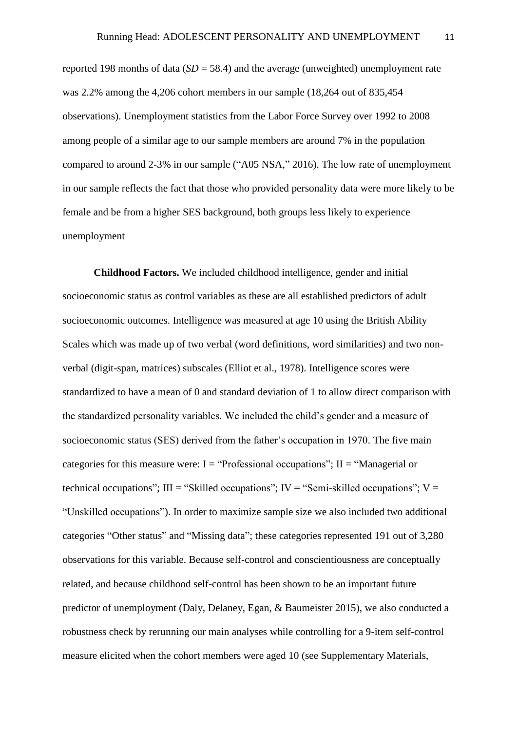reported 198 months of data (*SD* = 58.4) and the average (unweighted) unemployment rate was 2.2% among the 4,206 cohort members in our sample (18,264 out of 835,454 observations). Unemployment statistics from the Labor Force Survey over 1992 to 2008 among people of a similar age to our sample members are around 7% in the population compared to around 2-3% in our sample ("A05 NSA," 2016). The low rate of unemployment in our sample reflects the fact that those who provided personality data were more likely to be female and be from a higher SES background, both groups less likely to experience unemployment

**Childhood Factors.** We included childhood intelligence, gender and initial socioeconomic status as control variables as these are all established predictors of adult socioeconomic outcomes. Intelligence was measured at age 10 using the British Ability Scales which was made up of two verbal (word definitions, word similarities) and two nonverbal (digit-span, matrices) subscales (Elliot et al., 1978). Intelligence scores were standardized to have a mean of 0 and standard deviation of 1 to allow direct comparison with the standardized personality variables. We included the child's gender and a measure of socioeconomic status (SES) derived from the father's occupation in 1970. The five main categories for this measure were:  $I = "Professional occupations"; II = "Management or$ technical occupations";  $III =$  "Skilled occupations";  $IV =$  "Semi-skilled occupations";  $V =$ "Unskilled occupations"). In order to maximize sample size we also included two additional categories "Other status" and "Missing data"; these categories represented 191 out of 3,280 observations for this variable. Because self-control and conscientiousness are conceptually related, and because childhood self-control has been shown to be an important future predictor of unemployment (Daly, Delaney, Egan, & Baumeister 2015), we also conducted a robustness check by rerunning our main analyses while controlling for a 9-item self-control measure elicited when the cohort members were aged 10 (see Supplementary Materials,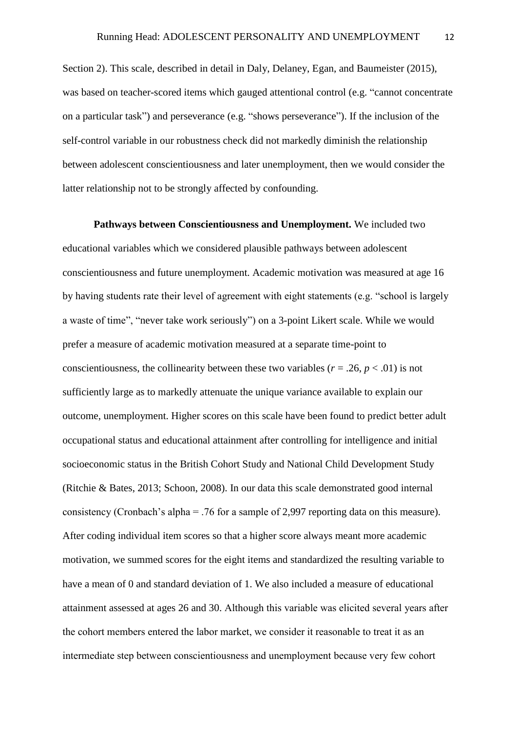Section 2). This scale, described in detail in Daly, Delaney, Egan, and Baumeister (2015), was based on teacher-scored items which gauged attentional control (e.g. "cannot concentrate on a particular task") and perseverance (e.g. "shows perseverance"). If the inclusion of the self-control variable in our robustness check did not markedly diminish the relationship between adolescent conscientiousness and later unemployment, then we would consider the latter relationship not to be strongly affected by confounding.

**Pathways between Conscientiousness and Unemployment.** We included two educational variables which we considered plausible pathways between adolescent conscientiousness and future unemployment. Academic motivation was measured at age 16 by having students rate their level of agreement with eight statements (e.g. "school is largely a waste of time", "never take work seriously") on a 3-point Likert scale. While we would prefer a measure of academic motivation measured at a separate time-point to conscientiousness, the collinearity between these two variables ( $r = .26$ ,  $p < .01$ ) is not sufficiently large as to markedly attenuate the unique variance available to explain our outcome, unemployment. Higher scores on this scale have been found to predict better adult occupational status and educational attainment after controlling for intelligence and initial socioeconomic status in the British Cohort Study and National Child Development Study (Ritchie & Bates, 2013; Schoon, 2008). In our data this scale demonstrated good internal consistency (Cronbach's alpha = .76 for a sample of 2,997 reporting data on this measure). After coding individual item scores so that a higher score always meant more academic motivation, we summed scores for the eight items and standardized the resulting variable to have a mean of 0 and standard deviation of 1. We also included a measure of educational attainment assessed at ages 26 and 30. Although this variable was elicited several years after the cohort members entered the labor market, we consider it reasonable to treat it as an intermediate step between conscientiousness and unemployment because very few cohort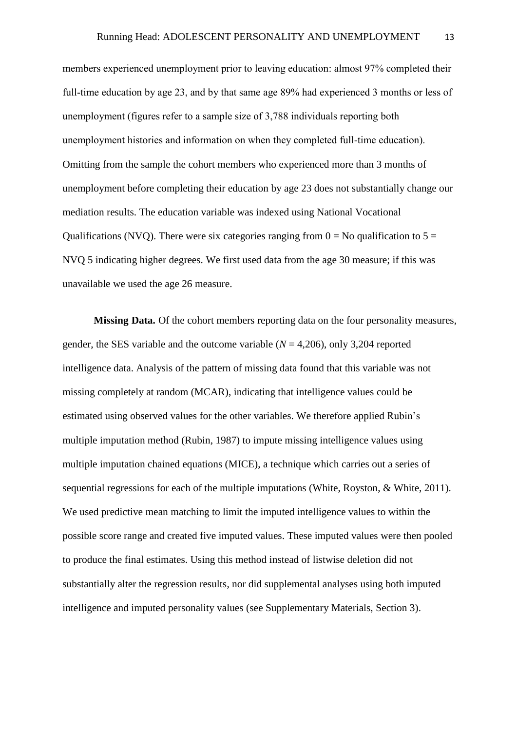members experienced unemployment prior to leaving education: almost 97% completed their full-time education by age 23, and by that same age 89% had experienced 3 months or less of unemployment (figures refer to a sample size of 3,788 individuals reporting both unemployment histories and information on when they completed full-time education). Omitting from the sample the cohort members who experienced more than 3 months of unemployment before completing their education by age 23 does not substantially change our mediation results. The education variable was indexed using National Vocational Qualifications (NVQ). There were six categories ranging from  $0 = No$  qualification to  $5 =$ NVQ 5 indicating higher degrees. We first used data from the age 30 measure; if this was unavailable we used the age 26 measure.

**Missing Data.** Of the cohort members reporting data on the four personality measures, gender, the SES variable and the outcome variable (*N* = 4,206), only 3,204 reported intelligence data. Analysis of the pattern of missing data found that this variable was not missing completely at random (MCAR), indicating that intelligence values could be estimated using observed values for the other variables. We therefore applied Rubin's multiple imputation method (Rubin, 1987) to impute missing intelligence values using multiple imputation chained equations (MICE), a technique which carries out a series of sequential regressions for each of the multiple imputations (White, Royston, & White, 2011). We used predictive mean matching to limit the imputed intelligence values to within the possible score range and created five imputed values. These imputed values were then pooled to produce the final estimates. Using this method instead of listwise deletion did not substantially alter the regression results, nor did supplemental analyses using both imputed intelligence and imputed personality values (see Supplementary Materials, Section 3).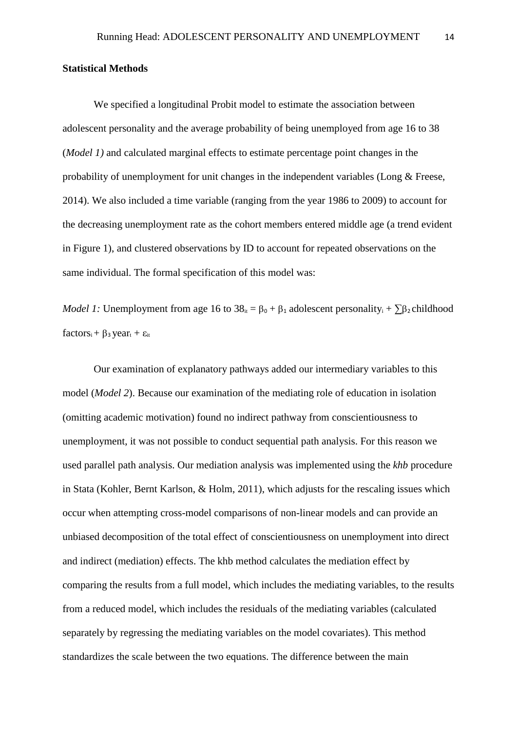#### **Statistical Methods**

We specified a longitudinal Probit model to estimate the association between adolescent personality and the average probability of being unemployed from age 16 to 38 (*Model 1)* and calculated marginal effects to estimate percentage point changes in the probability of unemployment for unit changes in the independent variables (Long & Freese, 2014). We also included a time variable (ranging from the year 1986 to 2009) to account for the decreasing unemployment rate as the cohort members entered middle age (a trend evident in Figure 1), and clustered observations by ID to account for repeated observations on the same individual. The formal specification of this model was:

*Model 1:* Unemployment from age 16 to  $38_{it} = \beta_0 + \beta_1$  adolescent personality<sub>i</sub> +  $\sum \beta_2$  childhood  $factors_i + \beta_3 year_t + \varepsilon_{it}$ 

Our examination of explanatory pathways added our intermediary variables to this model (*Model 2*). Because our examination of the mediating role of education in isolation (omitting academic motivation) found no indirect pathway from conscientiousness to unemployment, it was not possible to conduct sequential path analysis. For this reason we used parallel path analysis. Our mediation analysis was implemented using the *khb* procedure in Stata (Kohler, Bernt Karlson, & Holm, 2011), which adjusts for the rescaling issues which occur when attempting cross-model comparisons of non-linear models and can provide an unbiased decomposition of the total effect of conscientiousness on unemployment into direct and indirect (mediation) effects. The khb method calculates the mediation effect by comparing the results from a full model, which includes the mediating variables, to the results from a reduced model, which includes the residuals of the mediating variables (calculated separately by regressing the mediating variables on the model covariates). This method standardizes the scale between the two equations. The difference between the main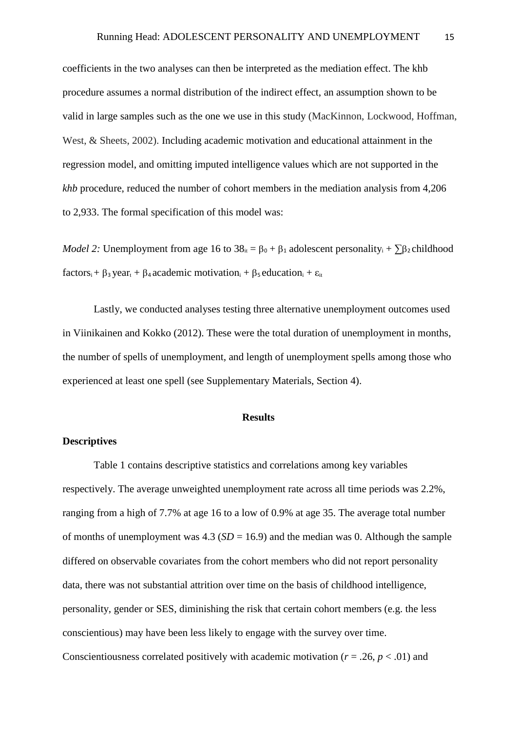coefficients in the two analyses can then be interpreted as the mediation effect. The khb procedure assumes a normal distribution of the indirect effect, an assumption shown to be valid in large samples such as the one we use in this study (MacKinnon, Lockwood, Hoffman, West, & Sheets, 2002). Including academic motivation and educational attainment in the regression model, and omitting imputed intelligence values which are not supported in the *khb* procedure, reduced the number of cohort members in the mediation analysis from 4,206 to 2,933. The formal specification of this model was:

*Model 2:* Unemployment from age 16 to  $38_{it} = \beta_0 + \beta_1$  adolescent personality<sub>i</sub> +  $\sum \beta_2$  childhood factors<sub>i</sub> +  $\beta_3$  year<sub>t</sub> +  $\beta_4$  academic motivation<sub>i</sub> +  $\beta_5$  education<sub>i</sub> +  $\varepsilon_{it}$ 

Lastly, we conducted analyses testing three alternative unemployment outcomes used in Viinikainen and Kokko (2012). These were the total duration of unemployment in months, the number of spells of unemployment, and length of unemployment spells among those who experienced at least one spell (see Supplementary Materials, Section 4).

# **Results**

# **Descriptives**

Table 1 contains descriptive statistics and correlations among key variables respectively. The average unweighted unemployment rate across all time periods was 2.2%, ranging from a high of 7.7% at age 16 to a low of 0.9% at age 35. The average total number of months of unemployment was  $4.3$  ( $SD = 16.9$ ) and the median was 0. Although the sample differed on observable covariates from the cohort members who did not report personality data, there was not substantial attrition over time on the basis of childhood intelligence, personality, gender or SES, diminishing the risk that certain cohort members (e.g. the less conscientious) may have been less likely to engage with the survey over time.

Conscientiousness correlated positively with academic motivation ( $r = .26$ ,  $p < .01$ ) and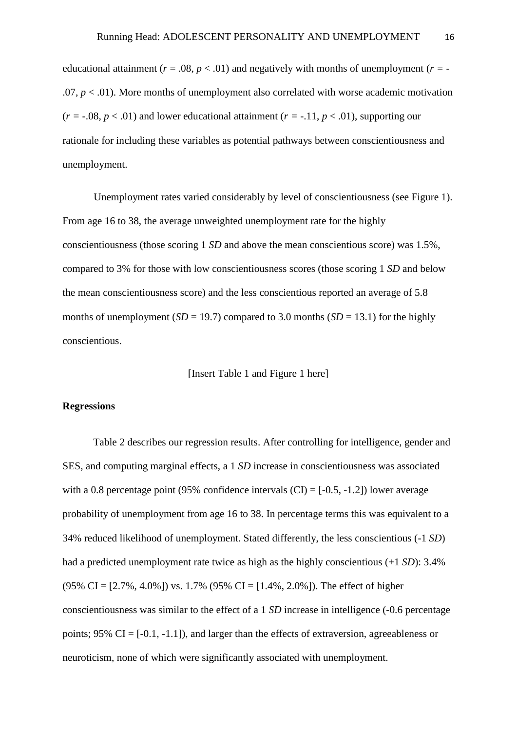educational attainment ( $r = .08$ ,  $p < .01$ ) and negatively with months of unemployment ( $r = .07, p < .01$ ). More months of unemployment also correlated with worse academic motivation  $(r = -0.08, p < .01)$  and lower educational attainment  $(r = -0.11, p < .01)$ , supporting our rationale for including these variables as potential pathways between conscientiousness and unemployment.

Unemployment rates varied considerably by level of conscientiousness (see Figure 1). From age 16 to 38, the average unweighted unemployment rate for the highly conscientiousness (those scoring 1 *SD* and above the mean conscientious score) was 1.5%, compared to 3% for those with low conscientiousness scores (those scoring 1 *SD* and below the mean conscientiousness score) and the less conscientious reported an average of 5.8 months of unemployment ( $SD = 19.7$ ) compared to 3.0 months ( $SD = 13.1$ ) for the highly conscientious.

[Insert Table 1 and Figure 1 here]

# **Regressions**

Table 2 describes our regression results. After controlling for intelligence, gender and SES, and computing marginal effects, a 1 *SD* increase in conscientiousness was associated with a 0.8 percentage point (95% confidence intervals  $(CI) = [-0.5, -1.2]$ ) lower average probability of unemployment from age 16 to 38. In percentage terms this was equivalent to a 34% reduced likelihood of unemployment. Stated differently, the less conscientious (-1 *SD*) had a predicted unemployment rate twice as high as the highly conscientious (+1 *SD*): 3.4%  $(95\% \text{ CI} = [2.7\%, 4.0\%]) \text{ vs. } 1.7\% \ (95\% \text{ CI} = [1.4\%, 2.0\%])$ . The effect of higher conscientiousness was similar to the effect of a 1 *SD* increase in intelligence (-0.6 percentage points;  $95\%$  CI = [-0.1, -1.1]), and larger than the effects of extraversion, agreeableness or neuroticism, none of which were significantly associated with unemployment.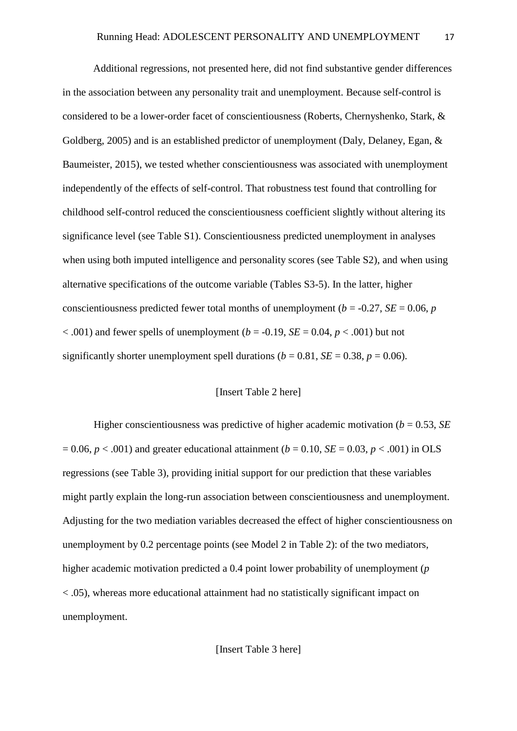Additional regressions, not presented here, did not find substantive gender differences in the association between any personality trait and unemployment. Because self-control is considered to be a lower-order facet of conscientiousness (Roberts, Chernyshenko, Stark, & Goldberg, 2005) and is an established predictor of unemployment (Daly, Delaney, Egan, & Baumeister, 2015), we tested whether conscientiousness was associated with unemployment independently of the effects of self-control. That robustness test found that controlling for childhood self-control reduced the conscientiousness coefficient slightly without altering its significance level (see Table S1). Conscientiousness predicted unemployment in analyses when using both imputed intelligence and personality scores (see Table S2), and when using alternative specifications of the outcome variable (Tables S3-5). In the latter, higher conscientiousness predicted fewer total months of unemployment ( $b = -0.27$ ,  $SE = 0.06$ , *p*  $< .001$ ) and fewer spells of unemployment ( $b = -0.19$ ,  $SE = 0.04$ ,  $p < .001$ ) but not significantly shorter unemployment spell durations ( $b = 0.81$ ,  $SE = 0.38$ ,  $p = 0.06$ ).

# [Insert Table 2 here]

Higher conscientiousness was predictive of higher academic motivation ( $b = 0.53$ , *SE*)  $= 0.06$ ,  $p < .001$ ) and greater educational attainment ( $b = 0.10$ ,  $SE = 0.03$ ,  $p < .001$ ) in OLS regressions (see Table 3), providing initial support for our prediction that these variables might partly explain the long-run association between conscientiousness and unemployment. Adjusting for the two mediation variables decreased the effect of higher conscientiousness on unemployment by 0.2 percentage points (see Model 2 in Table 2): of the two mediators, higher academic motivation predicted a 0.4 point lower probability of unemployment (*p*  < .05), whereas more educational attainment had no statistically significant impact on unemployment.

[Insert Table 3 here]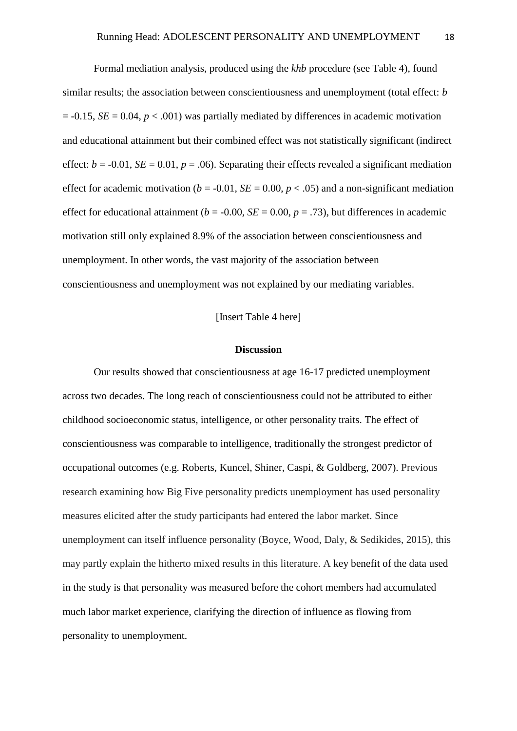Formal mediation analysis, produced using the *khb* procedure (see Table 4), found similar results; the association between conscientiousness and unemployment (total effect: *b*  $= -0.15$ , *SE* = 0.04, *p* < .001) was partially mediated by differences in academic motivation and educational attainment but their combined effect was not statistically significant (indirect effect:  $b = -0.01$ ,  $SE = 0.01$ ,  $p = .06$ ). Separating their effects revealed a significant mediation effect for academic motivation ( $b = -0.01$ ,  $SE = 0.00$ ,  $p < .05$ ) and a non-significant mediation effect for educational attainment ( $b = -0.00$ ,  $SE = 0.00$ ,  $p = .73$ ), but differences in academic motivation still only explained 8.9% of the association between conscientiousness and unemployment. In other words, the vast majority of the association between conscientiousness and unemployment was not explained by our mediating variables.

[Insert Table 4 here]

# **Discussion**

Our results showed that conscientiousness at age 16-17 predicted unemployment across two decades. The long reach of conscientiousness could not be attributed to either childhood socioeconomic status, intelligence, or other personality traits. The effect of conscientiousness was comparable to intelligence, traditionally the strongest predictor of occupational outcomes (e.g. Roberts, Kuncel, Shiner, Caspi, & Goldberg, 2007). Previous research examining how Big Five personality predicts unemployment has used personality measures elicited after the study participants had entered the labor market. Since unemployment can itself influence personality (Boyce, Wood, Daly, & Sedikides, 2015), this may partly explain the hitherto mixed results in this literature. A key benefit of the data used in the study is that personality was measured before the cohort members had accumulated much labor market experience, clarifying the direction of influence as flowing from personality to unemployment.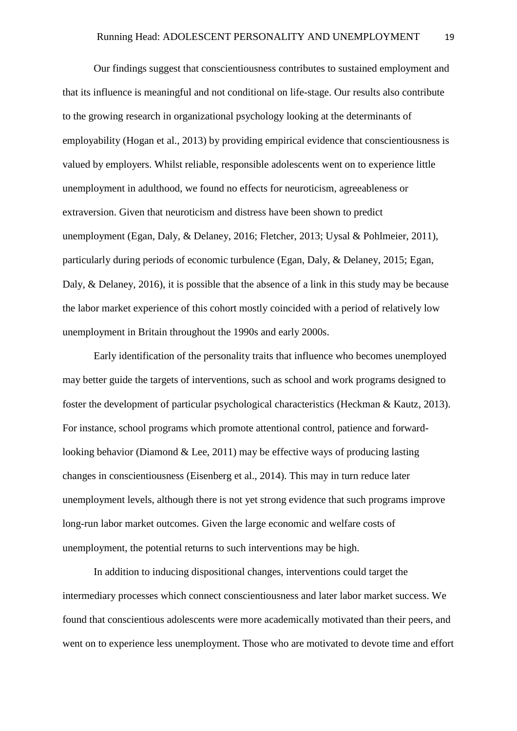Our findings suggest that conscientiousness contributes to sustained employment and that its influence is meaningful and not conditional on life-stage. Our results also contribute to the growing research in organizational psychology looking at the determinants of employability (Hogan et al., 2013) by providing empirical evidence that conscientiousness is valued by employers. Whilst reliable, responsible adolescents went on to experience little unemployment in adulthood, we found no effects for neuroticism, agreeableness or extraversion. Given that neuroticism and distress have been shown to predict unemployment (Egan, Daly, & Delaney, 2016; Fletcher, 2013; Uysal & Pohlmeier, 2011), particularly during periods of economic turbulence (Egan, Daly, & Delaney, 2015; Egan, Daly, & Delaney, 2016), it is possible that the absence of a link in this study may be because the labor market experience of this cohort mostly coincided with a period of relatively low unemployment in Britain throughout the 1990s and early 2000s.

Early identification of the personality traits that influence who becomes unemployed may better guide the targets of interventions, such as school and work programs designed to foster the development of particular psychological characteristics (Heckman & Kautz, 2013). For instance, school programs which promote attentional control, patience and forwardlooking behavior (Diamond & Lee, 2011) may be effective ways of producing lasting changes in conscientiousness (Eisenberg et al., 2014). This may in turn reduce later unemployment levels, although there is not yet strong evidence that such programs improve long-run labor market outcomes. Given the large economic and welfare costs of unemployment, the potential returns to such interventions may be high.

In addition to inducing dispositional changes, interventions could target the intermediary processes which connect conscientiousness and later labor market success. We found that conscientious adolescents were more academically motivated than their peers, and went on to experience less unemployment. Those who are motivated to devote time and effort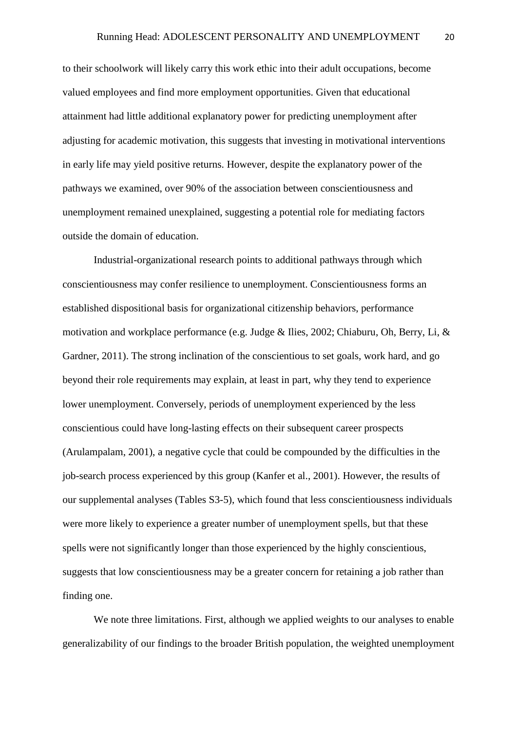to their schoolwork will likely carry this work ethic into their adult occupations, become valued employees and find more employment opportunities. Given that educational attainment had little additional explanatory power for predicting unemployment after adjusting for academic motivation, this suggests that investing in motivational interventions in early life may yield positive returns. However, despite the explanatory power of the pathways we examined, over 90% of the association between conscientiousness and unemployment remained unexplained, suggesting a potential role for mediating factors outside the domain of education.

Industrial-organizational research points to additional pathways through which conscientiousness may confer resilience to unemployment. Conscientiousness forms an established dispositional basis for organizational citizenship behaviors, performance motivation and workplace performance (e.g. Judge & Ilies, 2002; Chiaburu, Oh, Berry, Li, & Gardner, 2011). The strong inclination of the conscientious to set goals, work hard, and go beyond their role requirements may explain, at least in part, why they tend to experience lower unemployment. Conversely, periods of unemployment experienced by the less conscientious could have long-lasting effects on their subsequent career prospects (Arulampalam, 2001), a negative cycle that could be compounded by the difficulties in the job-search process experienced by this group (Kanfer et al., 2001). However, the results of our supplemental analyses (Tables S3-5), which found that less conscientiousness individuals were more likely to experience a greater number of unemployment spells, but that these spells were not significantly longer than those experienced by the highly conscientious, suggests that low conscientiousness may be a greater concern for retaining a job rather than finding one.

We note three limitations. First, although we applied weights to our analyses to enable generalizability of our findings to the broader British population, the weighted unemployment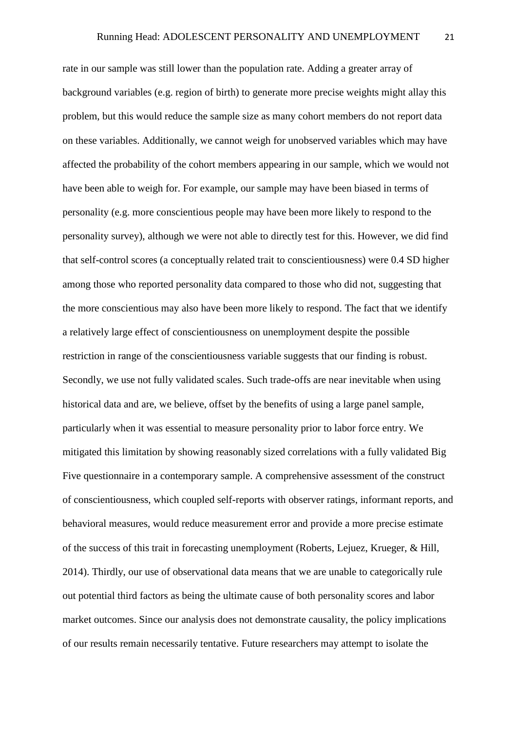rate in our sample was still lower than the population rate. Adding a greater array of background variables (e.g. region of birth) to generate more precise weights might allay this problem, but this would reduce the sample size as many cohort members do not report data on these variables. Additionally, we cannot weigh for unobserved variables which may have affected the probability of the cohort members appearing in our sample, which we would not have been able to weigh for. For example, our sample may have been biased in terms of personality (e.g. more conscientious people may have been more likely to respond to the personality survey), although we were not able to directly test for this. However, we did find that self-control scores (a conceptually related trait to conscientiousness) were 0.4 SD higher among those who reported personality data compared to those who did not, suggesting that the more conscientious may also have been more likely to respond. The fact that we identify a relatively large effect of conscientiousness on unemployment despite the possible restriction in range of the conscientiousness variable suggests that our finding is robust. Secondly, we use not fully validated scales. Such trade-offs are near inevitable when using historical data and are, we believe, offset by the benefits of using a large panel sample, particularly when it was essential to measure personality prior to labor force entry. We mitigated this limitation by showing reasonably sized correlations with a fully validated Big Five questionnaire in a contemporary sample. A comprehensive assessment of the construct of conscientiousness, which coupled self-reports with observer ratings, informant reports, and behavioral measures, would reduce measurement error and provide a more precise estimate of the success of this trait in forecasting unemployment (Roberts, Lejuez, Krueger, & Hill, 2014). Thirdly, our use of observational data means that we are unable to categorically rule out potential third factors as being the ultimate cause of both personality scores and labor market outcomes. Since our analysis does not demonstrate causality, the policy implications of our results remain necessarily tentative. Future researchers may attempt to isolate the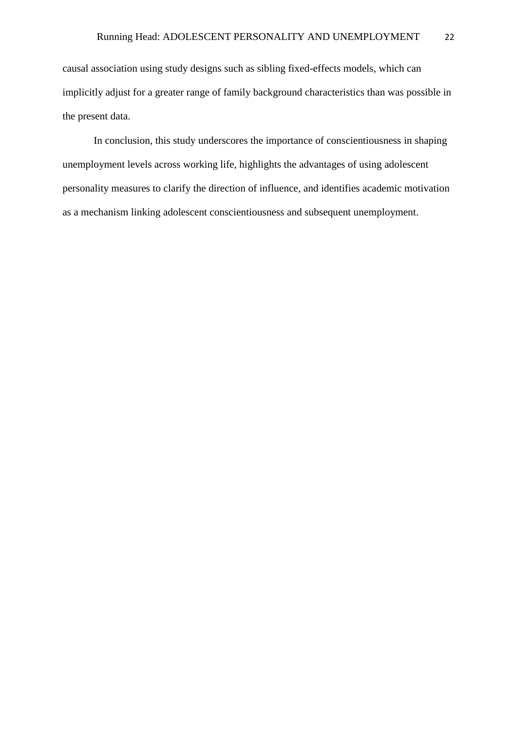causal association using study designs such as sibling fixed-effects models, which can implicitly adjust for a greater range of family background characteristics than was possible in the present data.

In conclusion, this study underscores the importance of conscientiousness in shaping unemployment levels across working life, highlights the advantages of using adolescent personality measures to clarify the direction of influence, and identifies academic motivation as a mechanism linking adolescent conscientiousness and subsequent unemployment.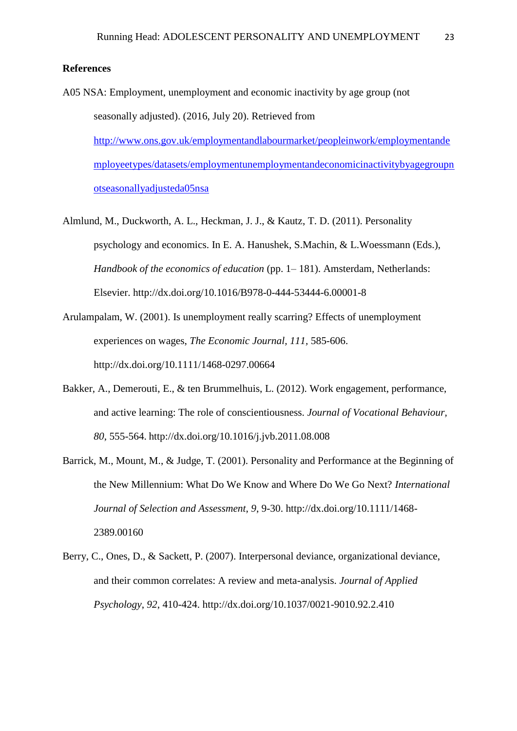## **References**

- A05 NSA: Employment, unemployment and economic inactivity by age group (not seasonally adjusted). (2016, July 20). Retrieved from [http://www.ons.gov.uk/employmentandlabourmarket/peopleinwork/employmentande](http://www.ons.gov.uk/employmentandlabourmarket/peopleinwork/employmentandemployeetypes/datasets/employmentunemploymentandeconomicinactivitybyagegroupnotseasonallyadjusteda05nsa) [mployeetypes/datasets/employmentunemploymentandeconomicinactivitybyagegroupn](http://www.ons.gov.uk/employmentandlabourmarket/peopleinwork/employmentandemployeetypes/datasets/employmentunemploymentandeconomicinactivitybyagegroupnotseasonallyadjusteda05nsa) [otseasonallyadjusteda05nsa](http://www.ons.gov.uk/employmentandlabourmarket/peopleinwork/employmentandemployeetypes/datasets/employmentunemploymentandeconomicinactivitybyagegroupnotseasonallyadjusteda05nsa)
- Almlund, M., Duckworth, A. L., Heckman, J. J., & Kautz, T. D. (2011). Personality psychology and economics. In E. A. Hanushek, S.Machin, & L.Woessmann (Eds.), *Handbook of the economics of education* (pp. 1– 181). Amsterdam, Netherlands: Elsevier. http://dx.doi.org/10.1016/B978-0-444-53444-6.00001-8
- Arulampalam, W. (2001). Is unemployment really scarring? Effects of unemployment experiences on wages, *The Economic Journal, 111,* 585-606. http://dx.doi.org/10.1111/1468-0297.00664
- Bakker, A., Demerouti, E., & ten Brummelhuis, L. (2012). Work engagement, performance, and active learning: The role of conscientiousness. *Journal of Vocational Behaviour, 80*, 555-564. http://dx.doi.org/10.1016/j.jvb.2011.08.008
- Barrick, M., Mount, M., & Judge, T. (2001). Personality and Performance at the Beginning of the New Millennium: What Do We Know and Where Do We Go Next? *International Journal of Selection and Assessment*, *9*, 9-30. http://dx.doi.org/10.1111/1468- 2389.00160
- Berry, C., Ones, D., & Sackett, P. (2007). Interpersonal deviance, organizational deviance, and their common correlates: A review and meta-analysis. *Journal of Applied Psychology*, *92*, 410-424. http://dx.doi.org/10.1037/0021-9010.92.2.410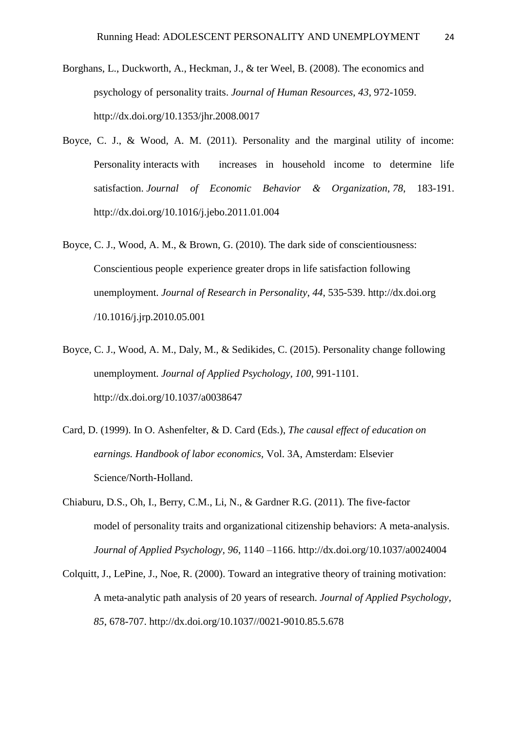- Borghans, L., Duckworth, A., Heckman, J., & ter Weel, B. (2008). The economics and psychology of personality traits. *Journal of Human Resources*, *43*, 972-1059. http://dx.doi.org/10.1353/jhr.2008.0017
- Boyce, C. J., & Wood, A. M. (2011). Personality and the marginal utility of income: Personality interacts with increases in household income to determine life satisfaction. *Journal of Economic Behavior & Organization*, *78*, 183-191. http://dx.doi.org/10.1016/j.jebo.2011.01.004
- Boyce, C. J., Wood, A. M., & Brown, G. (2010). The dark side of conscientiousness: Conscientious people experience greater drops in life satisfaction following unemployment. *Journal of Research in Personality*, *44*, 535-539. http://dx.doi.org /10.1016/j.jrp.2010.05.001
- Boyce, C. J., Wood, A. M., Daly, M., & Sedikides, C. (2015). Personality change following unemployment. *Journal of Applied Psychology*, *100*, 991-1101. http://dx.doi.org/10.1037/a0038647
- Card, D. (1999). In O. Ashenfelter, & D. Card (Eds.), *The causal effect of education on earnings. Handbook of labor economics,* Vol. 3A, Amsterdam: Elsevier Science/North-Holland.
- Chiaburu, D.S., Oh, I., Berry, C.M., Li, N., & Gardner R.G. (2011). The five-factor model of personality traits and organizational citizenship behaviors: A meta-analysis. *Journal of Applied Psychology, 96*, 1140 –1166. http://dx.doi.org/10.1037/a0024004
- Colquitt, J., LePine, J., Noe, R. (2000). Toward an integrative theory of training motivation: A meta-analytic path analysis of 20 years of research. *Journal of Applied Psychology*, *85*, 678-707. http://dx.doi.org/10.1037//0021-9010.85.5.678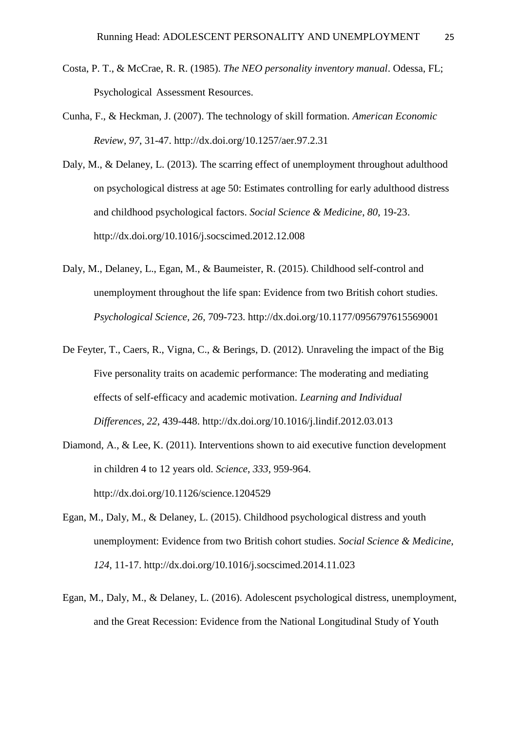- Costa, P. T., & McCrae, R. R. (1985). *The NEO personality inventory manual*. Odessa, FL; Psychological Assessment Resources.
- Cunha, F., & Heckman, J. (2007). The technology of skill formation. *American Economic Review*, *97*, 31-47. http://dx.doi.org/10.1257/aer.97.2.31
- Daly, M., & Delaney, L. (2013). The scarring effect of unemployment throughout adulthood on psychological distress at age 50: Estimates controlling for early adulthood distress and childhood psychological factors. *Social Science & Medicine*, *80*, 19-23. http://dx.doi.org/10.1016/j.socscimed.2012.12.008
- Daly, M., Delaney, L., Egan, M., & Baumeister, R. (2015). Childhood self-control and unemployment throughout the life span: Evidence from two British cohort studies. *Psychological Science, 26,* 709-723. http://dx.doi.org/10.1177/0956797615569001
- De Feyter, T., Caers, R., Vigna, C., & Berings, D. (2012). Unraveling the impact of the Big Five personality traits on academic performance: The moderating and mediating effects of self-efficacy and academic motivation. *Learning and Individual Differences*, *22*, 439-448. http://dx.doi.org/10.1016/j.lindif.2012.03.013
- Diamond, A., & Lee, K. (2011). Interventions shown to aid executive function development in children 4 to 12 years old. *Science*, *333*, 959-964. http://dx.doi.org/10.1126/science.1204529
- Egan, M., Daly, M., & Delaney, L. (2015). Childhood psychological distress and youth unemployment: Evidence from two British cohort studies. *Social Science & Medicine*, *124*, 11-17. http://dx.doi.org/10.1016/j.socscimed.2014.11.023
- Egan, M., Daly, M., & Delaney, L. (2016). Adolescent psychological distress, unemployment, and the Great Recession: Evidence from the National Longitudinal Study of Youth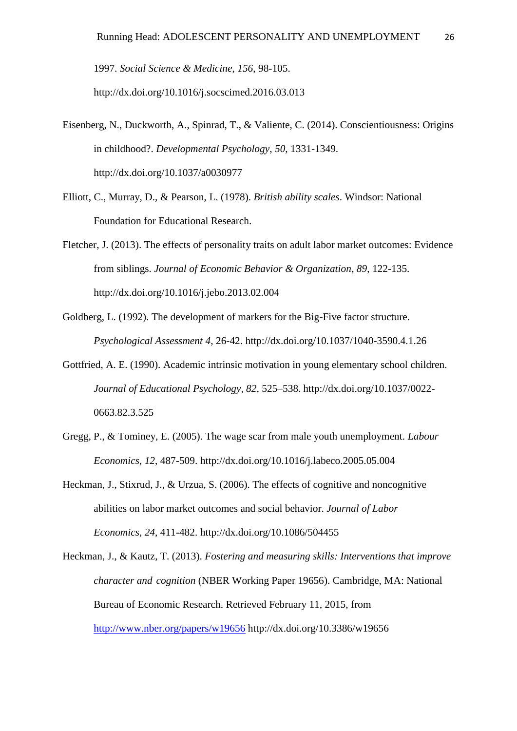1997. *Social Science & Medicine*, *156*, 98-105.

http://dx.doi.org/10.1016/j.socscimed.2016.03.013

- Eisenberg, N., Duckworth, A., Spinrad, T., & Valiente, C. (2014). Conscientiousness: Origins in childhood?. *Developmental Psychology*, *50*, 1331-1349. http://dx.doi.org/10.1037/a0030977
- Elliott, C., Murray, D., & Pearson, L. (1978). *British ability scales*. Windsor: National Foundation for Educational Research.
- Fletcher, J. (2013). The effects of personality traits on adult labor market outcomes: Evidence from siblings. *Journal of Economic Behavior & Organization*, *89*, 122-135. http://dx.doi.org/10.1016/j.jebo.2013.02.004
- Goldberg, L. (1992). The development of markers for the Big-Five factor structure. *Psychological Assessment 4*, 26-42. http://dx.doi.org/10.1037/1040-3590.4.1.26
- Gottfried, A. E. (1990). Academic intrinsic motivation in young elementary school children. *Journal of Educational Psychology, 82*, 525–538. http://dx.doi.org/10.1037/0022- 0663.82.3.525
- Gregg, P., & Tominey, E. (2005). The wage scar from male youth unemployment. *Labour Economics*, *12*, 487-509. http://dx.doi.org/10.1016/j.labeco.2005.05.004
- Heckman, J., Stixrud, J., & Urzua, S. (2006). The effects of cognitive and noncognitive abilities on labor market outcomes and social behavior. *Journal of Labor Economics*, *24*, 411-482. http://dx.doi.org/10.1086/504455
- Heckman, J., & Kautz, T. (2013). *Fostering and measuring skills: Interventions that improve character and cognition* (NBER Working Paper 19656). Cambridge, MA: National Bureau of Economic Research. Retrieved February 11, 2015, from <http://www.nber.org/papers/w19656> http://dx.doi.org/10.3386/w19656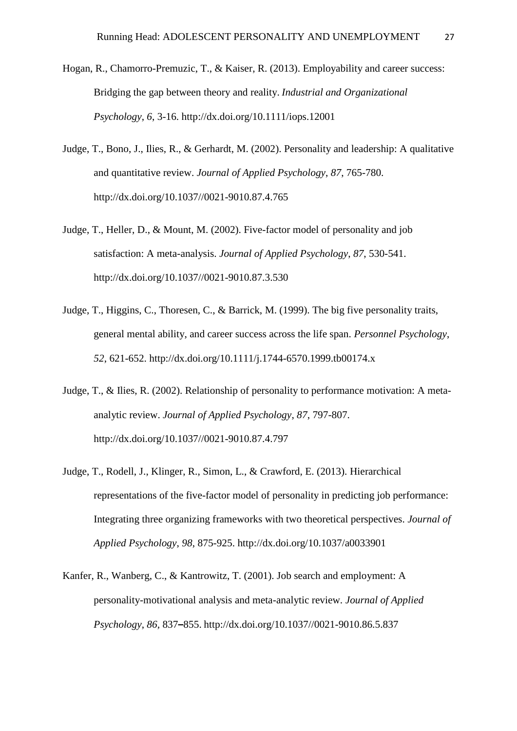- Hogan, R., Chamorro-Premuzic, T., & Kaiser, R. (2013). Employability and career success: Bridging the gap between theory and reality. *Industrial and Organizational Psychology*, *6*, 3-16. http://dx.doi.org/10.1111/iops.12001
- Judge, T., Bono, J., Ilies, R., & Gerhardt, M. (2002). Personality and leadership: A qualitative and quantitative review. *Journal of Applied Psychology*, *87*, 765-780. http://dx.doi.org/10.1037//0021-9010.87.4.765
- Judge, T., Heller, D., & Mount, M. (2002). Five-factor model of personality and job satisfaction: A meta-analysis. *Journal of Applied Psychology*, *87*, 530-541. http://dx.doi.org/10.1037//0021-9010.87.3.530
- Judge, T., Higgins, C., Thoresen, C., & Barrick, M. (1999). The big five personality traits, general mental ability, and career success across the life span. *Personnel Psychology*, *52*, 621-652. http://dx.doi.org/10.1111/j.1744-6570.1999.tb00174.x
- Judge, T., & Ilies, R. (2002). Relationship of personality to performance motivation: A metaanalytic review. *Journal of Applied Psychology*, *87*, 797-807. http://dx.doi.org/10.1037//0021-9010.87.4.797
- Judge, T., Rodell, J., Klinger, R., Simon, L., & Crawford, E. (2013). Hierarchical representations of the five-factor model of personality in predicting job performance: Integrating three organizing frameworks with two theoretical perspectives. *Journal of Applied Psychology*, *98*, 875-925. http://dx.doi.org/10.1037/a0033901
- Kanfer, R., Wanberg, C., & Kantrowitz, T. (2001). Job search and employment: A personality-motivational analysis and meta-analytic review. *Journal of Applied Psychology*, *86,* 837**–**855. http://dx.doi.org/10.1037//0021-9010.86.5.837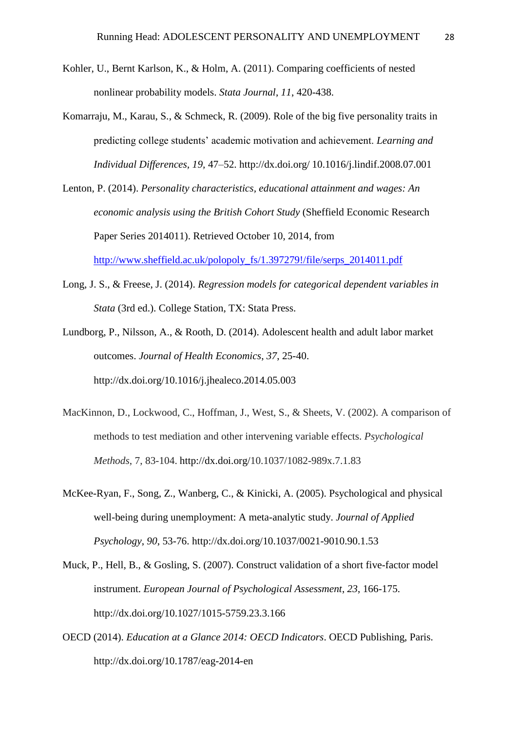- Kohler, U., Bernt Karlson, K., & Holm, A. (2011). Comparing coefficients of nested nonlinear probability models. *Stata Journal*, *11*, 420-438.
- Komarraju, M., Karau, S., & Schmeck, R. (2009). Role of the big five personality traits in predicting college students' academic motivation and achievement. *Learning and Individual Differences, 19,* 47–52. http://dx.doi.org/ 10.1016/j.lindif.2008.07.001
- Lenton, P. (2014). *Personality characteristics, educational attainment and wages: An economic analysis using the British Cohort Study* (Sheffield Economic Research Paper Series 2014011). Retrieved October 10, 2014, from [http://www.sheffield.ac.uk/polopoly\\_fs/1.397279!/file/serps\\_2014011.pdf](http://www.sheffield.ac.uk/polopoly_fs/1.397279!/file/serps_2014011.pdf)
- Long, J. S., & Freese, J. (2014). *Regression models for categorical dependent variables in Stata* (3rd ed.). College Station, TX: Stata Press.
- Lundborg, P., Nilsson, A., & Rooth, D. (2014). Adolescent health and adult labor market outcomes. *Journal of Health Economics*, *37*, 25-40. http://dx.doi.org/10.1016/j.jhealeco.2014.05.003
- MacKinnon, D., Lockwood, C., Hoffman, J., West, S., & Sheets, V. (2002). A comparison of methods to test mediation and other intervening variable effects. *Psychological Methods*, 7, 83-104. http://dx.doi.org/10.1037/1082-989x.7.1.83
- McKee-Ryan, F., Song, Z., Wanberg, C., & Kinicki, A. (2005). Psychological and physical well-being during unemployment: A meta-analytic study. *Journal of Applied Psychology*, *90*, 53-76. http://dx.doi.org/10.1037/0021-9010.90.1.53
- Muck, P., Hell, B., & Gosling, S. (2007). Construct validation of a short five-factor model instrument. *European Journal of Psychological Assessment*, *23*, 166-175. http://dx.doi.org/10.1027/1015-5759.23.3.166
- OECD (2014). *Education at a Glance 2014: OECD Indicators*. OECD Publishing, Paris. http://dx.doi.org/10.1787/eag-2014-en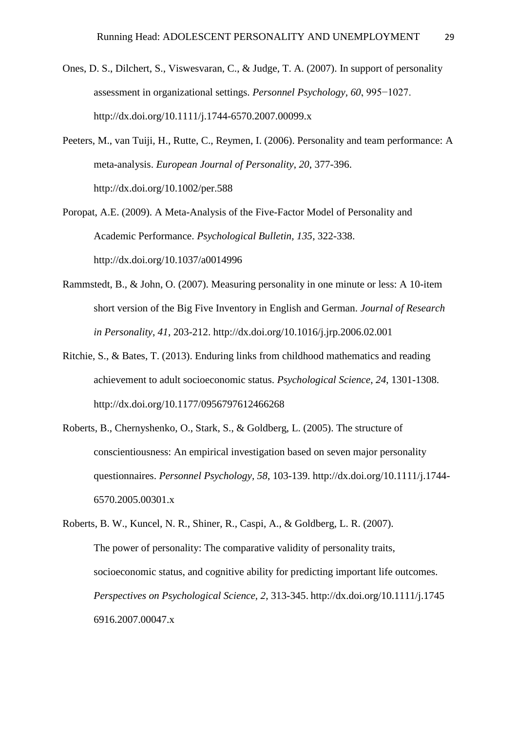- Ones, D. S., Dilchert, S., Viswesvaran, C., & Judge, T. A. (2007). In support of personality assessment in organizational settings. *Personnel Psychology, 60*, 995−1027. http://dx.doi.org/10.1111/j.1744-6570.2007.00099.x
- Peeters, M., van Tuiji, H., Rutte, C., Reymen, I. (2006). Personality and team performance: A meta-analysis. *European Journal of Personality*, *20*, 377-396. http://dx.doi.org/10.1002/per.588
- Poropat, A.E. (2009). A Meta-Analysis of the Five-Factor Model of Personality and Academic Performance. *Psychological Bulletin, 135*, 322-338. http://dx.doi.org/10.1037/a0014996
- Rammstedt, B., & John, O. (2007). Measuring personality in one minute or less: A 10-item short version of the Big Five Inventory in English and German. *Journal of Research in Personality*, *41*, 203-212. http://dx.doi.org/10.1016/j.jrp.2006.02.001
- Ritchie, S., & Bates, T. (2013). Enduring links from childhood mathematics and reading achievement to adult socioeconomic status. *Psychological Science*, *24*, 1301-1308. http://dx.doi.org/10.1177/0956797612466268
- Roberts, B., Chernyshenko, O., Stark, S., & Goldberg, L. (2005). The structure of conscientiousness: An empirical investigation based on seven major personality questionnaires. *Personnel Psychology, 58*, 103-139. http://dx.doi.org/10.1111/j.1744- 6570.2005.00301.x
- Roberts, B. W., Kuncel, N. R., Shiner, R., Caspi, A., & Goldberg, L. R. (2007). The power of personality: The comparative validity of personality traits, socioeconomic status, and cognitive ability for predicting important life outcomes. *Perspectives on Psychological Science, 2,* 313-345. http://dx.doi.org/10.1111/j.1745 6916.2007.00047.x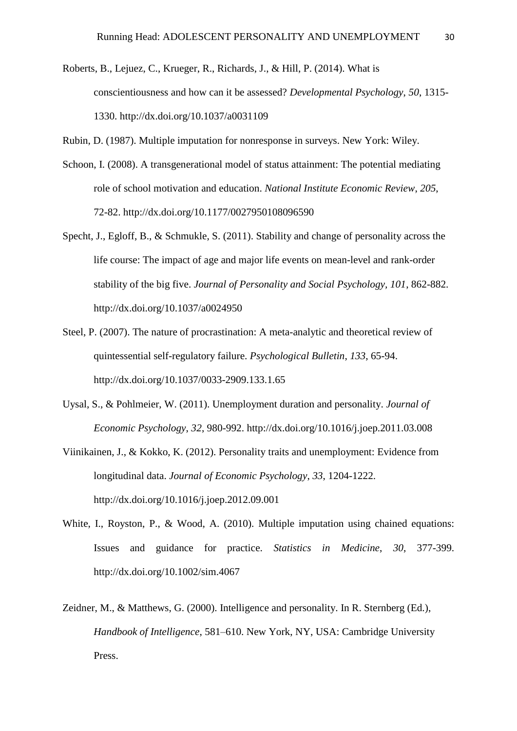- Roberts, B., Lejuez, C., Krueger, R., Richards, J., & Hill, P. (2014). What is conscientiousness and how can it be assessed? *Developmental Psychology*, *50*, 1315- 1330. http://dx.doi.org/10.1037/a0031109
- Rubin, D. (1987). Multiple imputation for nonresponse in surveys. New York: Wiley.
- Schoon, I. (2008). A transgenerational model of status attainment: The potential mediating role of school motivation and education. *National Institute Economic Review*, *205*, 72-82. http://dx.doi.org/10.1177/0027950108096590
- Specht, J., Egloff, B., & Schmukle, S. (2011). Stability and change of personality across the life course: The impact of age and major life events on mean-level and rank-order stability of the big five. *Journal of Personality and Social Psychology, 101*, 862-882. http://dx.doi.org/10.1037/a0024950
- Steel, P. (2007). The nature of procrastination: A meta-analytic and theoretical review of quintessential self-regulatory failure. *Psychological Bulletin*, *133*, 65-94. http://dx.doi.org/10.1037/0033-2909.133.1.65
- Uysal, S., & Pohlmeier, W. (2011). Unemployment duration and personality. *Journal of Economic Psychology*, *32*, 980-992. http://dx.doi.org/10.1016/j.joep.2011.03.008
- Viinikainen, J., & Kokko, K. (2012). Personality traits and unemployment: Evidence from longitudinal data. *Journal of Economic Psychology*, *33*, 1204-1222. http://dx.doi.org/10.1016/j.joep.2012.09.001
- White, I., Royston, P., & Wood, A. (2010). Multiple imputation using chained equations: Issues and guidance for practice. *Statistics in Medicine*, *30*, 377-399. http://dx.doi.org/10.1002/sim.4067
- Zeidner, M., & Matthews, G. (2000). Intelligence and personality. In R. Sternberg (Ed.), *Handbook of Intelligence*, 581–610. New York, NY, USA: Cambridge University Press.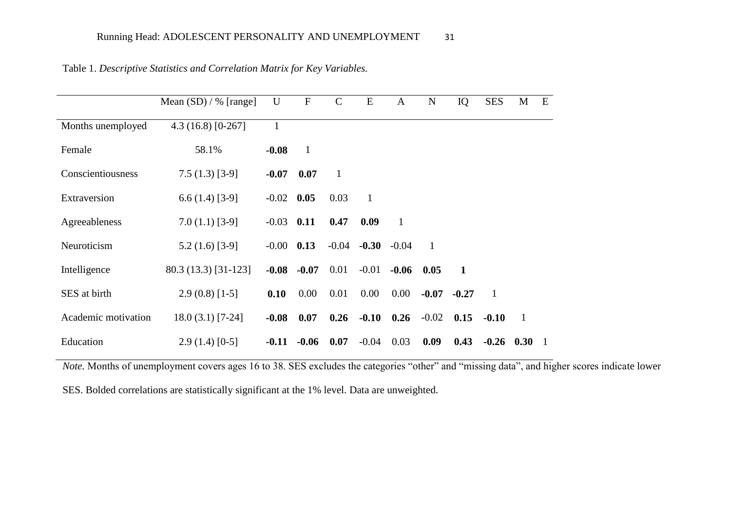|                     | Mean $(SD)$ / % [range] | U            | ${\bf F}$    | $\mathbf C$  | E            | $\mathbf{A}$ | ${\bf N}$      | IQ           | <b>SES</b>   | M              | E  |
|---------------------|-------------------------|--------------|--------------|--------------|--------------|--------------|----------------|--------------|--------------|----------------|----|
| Months unemployed   | 4.3 (16.8) $[0-267]$    | $\mathbf{1}$ |              |              |              |              |                |              |              |                |    |
| Female              | 58.1%                   | $-0.08$      | $\mathbf{1}$ |              |              |              |                |              |              |                |    |
| Conscientiousness   | $7.5(1.3)[3-9]$         | $-0.07$      | 0.07         | $\mathbf{1}$ |              |              |                |              |              |                |    |
| Extraversion        | $6.6(1.4)[3-9]$         | $-0.02$ 0.05 |              | 0.03         | $\mathbf{1}$ |              |                |              |              |                |    |
| Agreeableness       | $7.0(1.1)[3-9]$         | $-0.03$ 0.11 |              | 0.47         | 0.09         | $\mathbf{1}$ |                |              |              |                |    |
| Neuroticism         | $5.2(1.6)[3-9]$         | $-0.00$ 0.13 |              | $-0.04$      | $-0.30$      | $-0.04$      | $\overline{1}$ |              |              |                |    |
| Intelligence        | 80.3 (13.3) [31-123]    | $-0.08$      | $-0.07$      | 0.01         | $-0.01$      | $-0.06$      | 0.05           | $\mathbf{1}$ |              |                |    |
| SES at birth        | $2.9(0.8)[1-5]$         | 0.10         | 0.00         | 0.01         | 0.00         | 0.00         | $-0.07$        | $-0.27$      | $\mathbf{1}$ |                |    |
| Academic motivation | $18.0(3.1)[7-24]$       | $-0.08$      | 0.07         | 0.26         | $-0.10$      | 0.26         | $-0.02$        | 0.15         | $-0.10$      | $\overline{1}$ |    |
| Education           | $2.9(1.4)[0-5]$         | $-0.11$      | $-0.06$      | 0.07         | $-0.04$      | 0.03         | 0.09           | 0.43         | $-0.26$ 0.30 |                | -1 |

Table 1. *Descriptive Statistics and Correlation Matrix for Key Variables.*

*Note.* Months of unemployment covers ages 16 to 38. SES excludes the categories "other" and "missing data", and higher scores indicate lower

SES. Bolded correlations are statistically significant at the 1% level. Data are unweighted.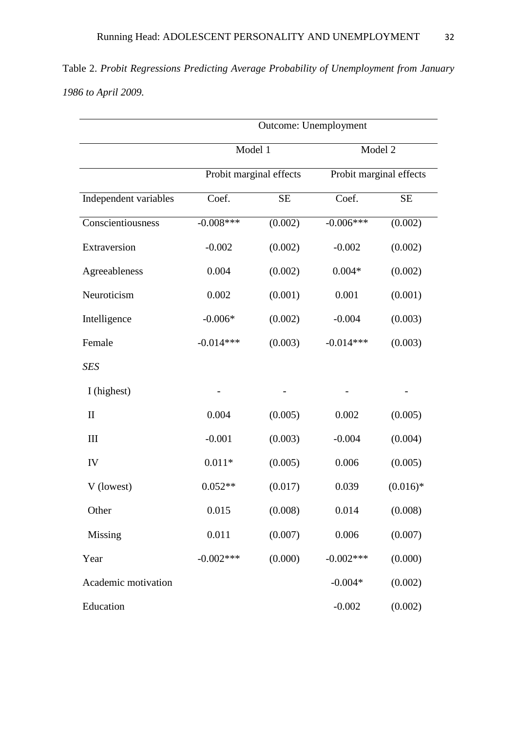| Table 2. Probit Regressions Predicting Average Probability of Unemployment from January |  |
|-----------------------------------------------------------------------------------------|--|
| 1986 to April 2009.                                                                     |  |

|                       |                         | Outcome: Unemployment |                         |            |
|-----------------------|-------------------------|-----------------------|-------------------------|------------|
|                       | Model 1                 |                       |                         | Model 2    |
|                       | Probit marginal effects |                       | Probit marginal effects |            |
| Independent variables | Coef.                   | <b>SE</b>             | Coef.                   | <b>SE</b>  |
| Conscientiousness     | $-0.008$ ***            | (0.002)               | $-0.006***$             | (0.002)    |
| Extraversion          | $-0.002$                | (0.002)               | $-0.002$                | (0.002)    |
| Agreeableness         | 0.004                   | (0.002)               | $0.004*$                | (0.002)    |
| Neuroticism           | 0.002                   | (0.001)               | 0.001                   | (0.001)    |
| Intelligence          | $-0.006*$               | (0.002)               | $-0.004$                | (0.003)    |
| Female                | $-0.014***$             | (0.003)               | $-0.014***$             | (0.003)    |
| SES                   |                         |                       |                         |            |
| I (highest)           |                         |                       |                         |            |
| $\mathbf{I}$          | 0.004                   | (0.005)               | 0.002                   | (0.005)    |
| III                   | $-0.001$                | (0.003)               | $-0.004$                | (0.004)    |
| IV                    | $0.011*$                | (0.005)               | 0.006                   | (0.005)    |
| V (lowest)            | $0.052**$               | (0.017)               | 0.039                   | $(0.016)*$ |
| Other                 | 0.015                   | (0.008)               | 0.014                   | (0.008)    |
| Missing               | 0.011                   | (0.007)               | 0.006                   | (0.007)    |
| Year                  | $-0.002$ ***            | (0.000)               | $-0.002$ ***            | (0.000)    |
| Academic motivation   |                         |                       | $-0.004*$               | (0.002)    |
| Education             |                         |                       | $-0.002$                | (0.002)    |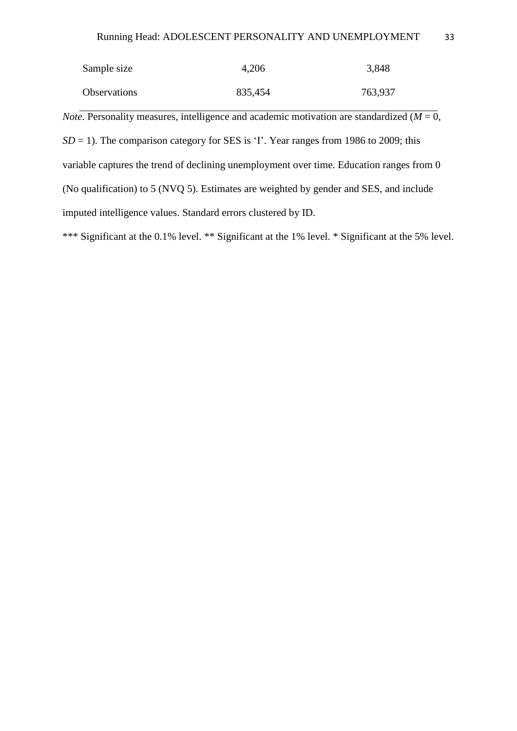| Sample size         | 4,206   | 3,848   |
|---------------------|---------|---------|
| <b>Observations</b> | 835,454 | 763,937 |

*Note.* Personality measures, intelligence and academic motivation are standardized ( $M = 0$ ,  $SD = 1$ ). The comparison category for SES is 'I'. Year ranges from 1986 to 2009; this variable captures the trend of declining unemployment over time. Education ranges from 0 (No qualification) to 5 (NVQ 5). Estimates are weighted by gender and SES, and include imputed intelligence values. Standard errors clustered by ID.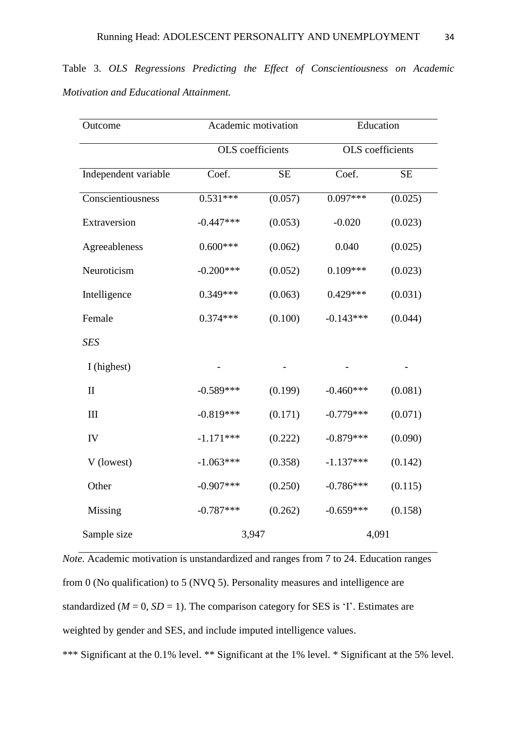| Outcome              | Academic motivation     |          | Education   |                         |  |
|----------------------|-------------------------|----------|-------------|-------------------------|--|
|                      | <b>OLS</b> coefficients |          |             | <b>OLS</b> coefficients |  |
| Independent variable | Coef.                   | $\rm SE$ | Coef.       | <b>SE</b>               |  |
| Conscientiousness    | $0.531***$              | (0.057)  | $0.097***$  | (0.025)                 |  |
| Extraversion         | $-0.447***$             | (0.053)  | $-0.020$    | (0.023)                 |  |
| Agreeableness        | $0.600***$              | (0.062)  | 0.040       | (0.025)                 |  |
| Neuroticism          | $-0.200***$             | (0.052)  | $0.109***$  | (0.023)                 |  |
| Intelligence         | $0.349***$              | (0.063)  | $0.429***$  | (0.031)                 |  |
| Female               | $0.374***$              | (0.100)  | $-0.143***$ | (0.044)                 |  |
| <b>SES</b>           |                         |          |             |                         |  |
| I (highest)          |                         |          |             |                         |  |
| $\mathbf{I}$         | $-0.589***$             | (0.199)  | $-0.460***$ | (0.081)                 |  |
| III                  | $-0.819***$             | (0.171)  | $-0.779***$ | (0.071)                 |  |
| IV                   | $-1.171***$             | (0.222)  | $-0.879***$ | (0.090)                 |  |
| V (lowest)           | $-1.063***$             | (0.358)  | $-1.137***$ | (0.142)                 |  |
| Other                | $-0.907***$             | (0.250)  | $-0.786***$ | (0.115)                 |  |
| Missing              | $-0.787***$             | (0.262)  | $-0.659***$ | (0.158)                 |  |
| Sample size          | 3,947                   |          | 4,091       |                         |  |

Table 3. *OLS Regressions Predicting the Effect of Conscientiousness on Academic Motivation and Educational Attainment.*

*Note.* Academic motivation is unstandardized and ranges from 7 to 24. Education ranges from 0 (No qualification) to 5 (NVQ 5). Personality measures and intelligence are standardized ( $M = 0$ ,  $SD = 1$ ). The comparison category for SES is 'I'. Estimates are weighted by gender and SES, and include imputed intelligence values.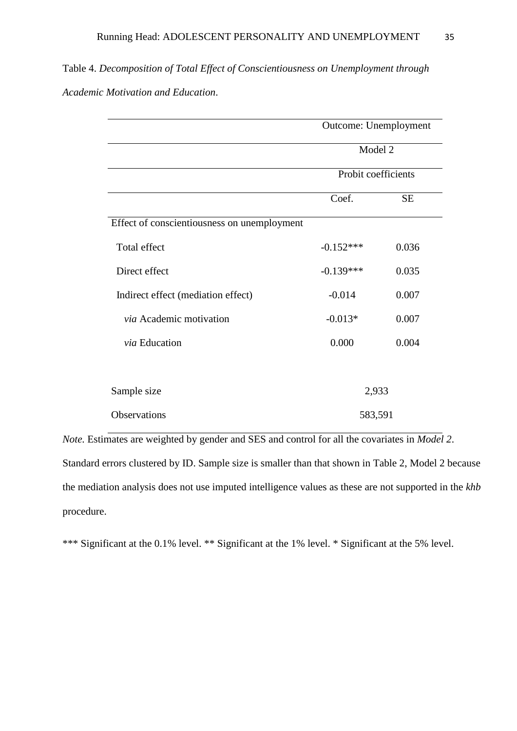| Table 4. Decomposition of Total Effect of Conscientiousness on Unemployment through |  |
|-------------------------------------------------------------------------------------|--|
| Academic Motivation and Education.                                                  |  |

|                                             | Outcome: Unemployment |           |
|---------------------------------------------|-----------------------|-----------|
|                                             | Model 2               |           |
|                                             | Probit coefficients   |           |
|                                             | Coef.                 | <b>SE</b> |
| Effect of conscientiousness on unemployment |                       |           |
| Total effect                                | $-0.152***$           | 0.036     |
| Direct effect                               | $-0.139***$           | 0.035     |
| Indirect effect (mediation effect)          | $-0.014$              | 0.007     |
| via Academic motivation                     | $-0.013*$             | 0.007     |
| via Education                               | 0.000                 | 0.004     |
|                                             |                       |           |
| Sample size                                 | 2,933                 |           |
| Observations                                | 583,591               |           |

*Note.* Estimates are weighted by gender and SES and control for all the covariates in *Model 2*. Standard errors clustered by ID. Sample size is smaller than that shown in Table 2, Model 2 because the mediation analysis does not use imputed intelligence values as these are not supported in the *khb*  procedure.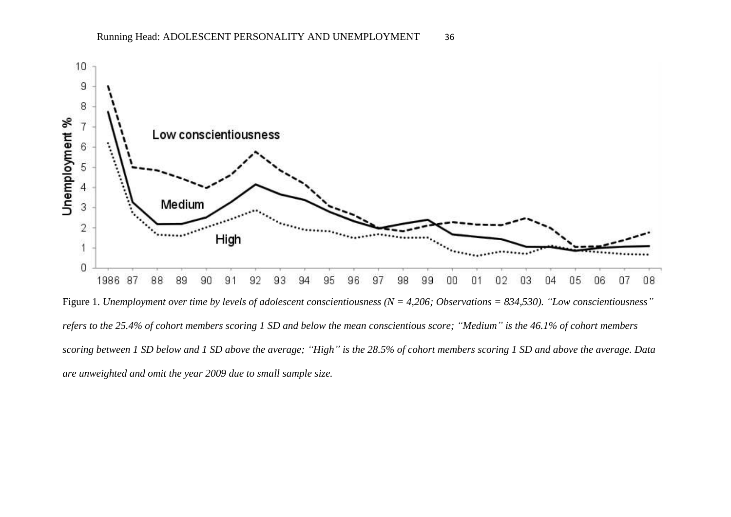

Figure 1. *Unemployment over time by levels of adolescent conscientiousness (N = 4,206; Observations = 834,530). "Low conscientiousness" refers to the 25.4% of cohort members scoring 1 SD and below the mean conscientious score; "Medium" is the 46.1% of cohort members scoring between 1 SD below and 1 SD above the average; "High" is the 28.5% of cohort members scoring 1 SD and above the average. Data are unweighted and omit the year 2009 due to small sample size.*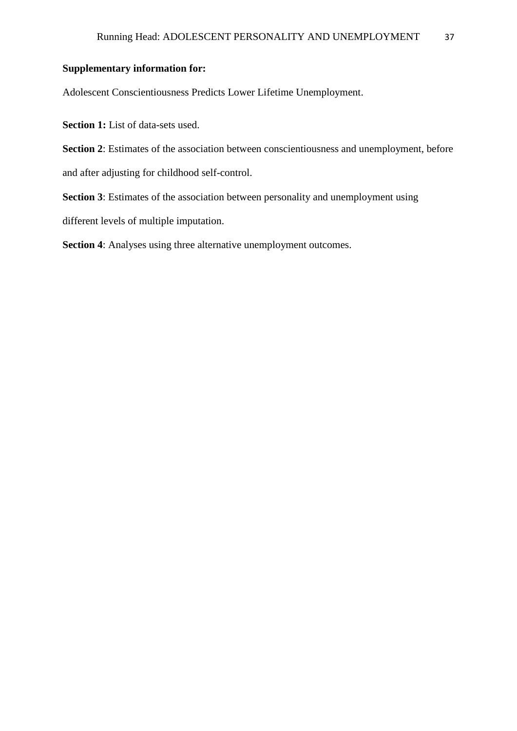# **Supplementary information for:**

Adolescent Conscientiousness Predicts Lower Lifetime Unemployment.

**Section 1:** List of data-sets used.

**Section 2**: Estimates of the association between conscientiousness and unemployment, before

and after adjusting for childhood self-control.

**Section 3**: Estimates of the association between personality and unemployment using

different levels of multiple imputation.

**Section 4**: Analyses using three alternative unemployment outcomes.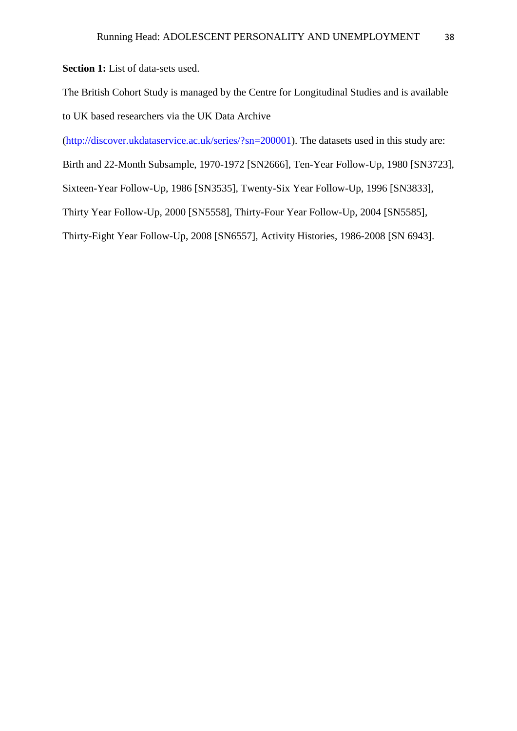Section 1: List of data-sets used.

The British Cohort Study is managed by the Centre for Longitudinal Studies and is available to UK based researchers via the UK Data Archive

[\(http://discover.ukdataservice.ac.uk/series/?sn=200001\)](http://discover.ukdataservice.ac.uk/series/?sn=200001). The datasets used in this study are:

Birth and 22-Month Subsample, 1970-1972 [SN2666], Ten-Year Follow-Up, 1980 [SN3723],

Sixteen-Year Follow-Up, 1986 [SN3535], Twenty-Six Year Follow-Up, 1996 [SN3833],

Thirty Year Follow-Up, 2000 [SN5558], Thirty-Four Year Follow-Up, 2004 [SN5585],

Thirty-Eight Year Follow-Up, 2008 [SN6557], Activity Histories, 1986-2008 [SN 6943].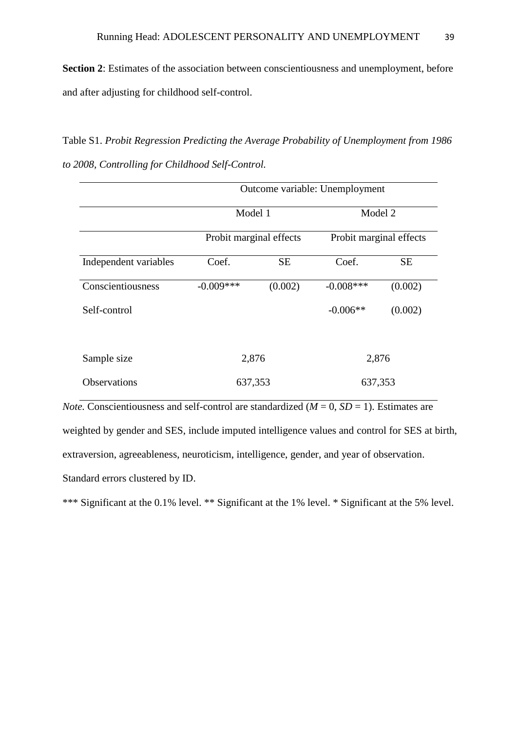**Section 2**: Estimates of the association between conscientiousness and unemployment, before and after adjusting for childhood self-control.

Table S1. *Probit Regression Predicting the Average Probability of Unemployment from 1986 to 2008, Controlling for Childhood Self-Control.*

|                       | Outcome variable: Unemployment |           |                         |           |  |
|-----------------------|--------------------------------|-----------|-------------------------|-----------|--|
|                       | Model 1                        |           |                         | Model 2   |  |
|                       | Probit marginal effects        |           | Probit marginal effects |           |  |
| Independent variables | Coef.                          | <b>SE</b> | Coef.                   | <b>SE</b> |  |
| Conscientiousness     | $-0.009***$                    | (0.002)   | $-0.008$ ***            | (0.002)   |  |
| Self-control          |                                |           | $-0.006**$              | (0.002)   |  |
|                       |                                |           |                         |           |  |
| Sample size           | 2,876                          |           | 2,876                   |           |  |
| <b>Observations</b>   | 637,353                        |           | 637,353                 |           |  |

*Note.* Conscientiousness and self-control are standardized ( $M = 0$ ,  $SD = 1$ ). Estimates are weighted by gender and SES, include imputed intelligence values and control for SES at birth, extraversion, agreeableness, neuroticism, intelligence, gender, and year of observation. Standard errors clustered by ID.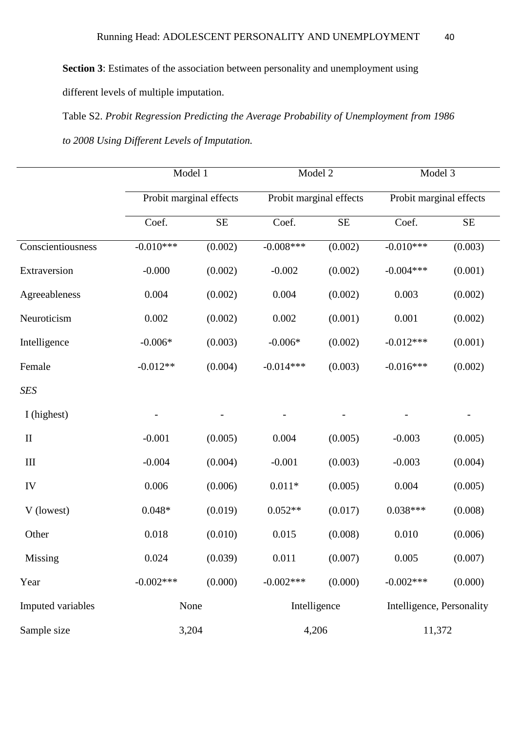**Section 3**: Estimates of the association between personality and unemployment using different levels of multiple imputation.

Table S2. *Probit Regression Predicting the Average Probability of Unemployment from 1986 to 2008 Using Different Levels of Imputation.*

|                   | Model 1                 |           | Model 2                 |           | Model 3                   |           |
|-------------------|-------------------------|-----------|-------------------------|-----------|---------------------------|-----------|
|                   | Probit marginal effects |           | Probit marginal effects |           | Probit marginal effects   |           |
|                   | Coef.                   | <b>SE</b> | Coef.                   | <b>SE</b> | Coef.                     | <b>SE</b> |
| Conscientiousness | $-0.010***$             | (0.002)   | $-0.008***$             | (0.002)   | $-0.010***$               | (0.003)   |
| Extraversion      | $-0.000$                | (0.002)   | $-0.002$                | (0.002)   | $-0.004***$               | (0.001)   |
| Agreeableness     | 0.004                   | (0.002)   | 0.004                   | (0.002)   | 0.003                     | (0.002)   |
| Neuroticism       | 0.002                   | (0.002)   | 0.002                   | (0.001)   | 0.001                     | (0.002)   |
| Intelligence      | $-0.006*$               | (0.003)   | $-0.006*$               | (0.002)   | $-0.012***$               | (0.001)   |
| Female            | $-0.012**$              | (0.004)   | $-0.014***$             | (0.003)   | $-0.016***$               | (0.002)   |
| <b>SES</b>        |                         |           |                         |           |                           |           |
| I (highest)       |                         |           |                         |           |                           |           |
| $\mathbf{I}$      | $-0.001$                | (0.005)   | 0.004                   | (0.005)   | $-0.003$                  | (0.005)   |
| $\rm III$         | $-0.004$                | (0.004)   | $-0.001$                | (0.003)   | $-0.003$                  | (0.004)   |
| IV                | 0.006                   | (0.006)   | $0.011*$                | (0.005)   | 0.004                     | (0.005)   |
| V (lowest)        | $0.048*$                | (0.019)   | $0.052**$               | (0.017)   | $0.038***$                | (0.008)   |
| Other             | 0.018                   | (0.010)   | 0.015                   | (0.008)   | 0.010                     | (0.006)   |
| Missing           | 0.024                   | (0.039)   | 0.011                   | (0.007)   | 0.005                     | (0.007)   |
| Year              | $-0.002***$             | (0.000)   | $-0.002***$             | (0.000)   | $-0.002$ ***              | (0.000)   |
| Imputed variables | None                    |           | Intelligence            |           | Intelligence, Personality |           |
| Sample size       | 3,204                   |           | 4,206                   |           | 11,372                    |           |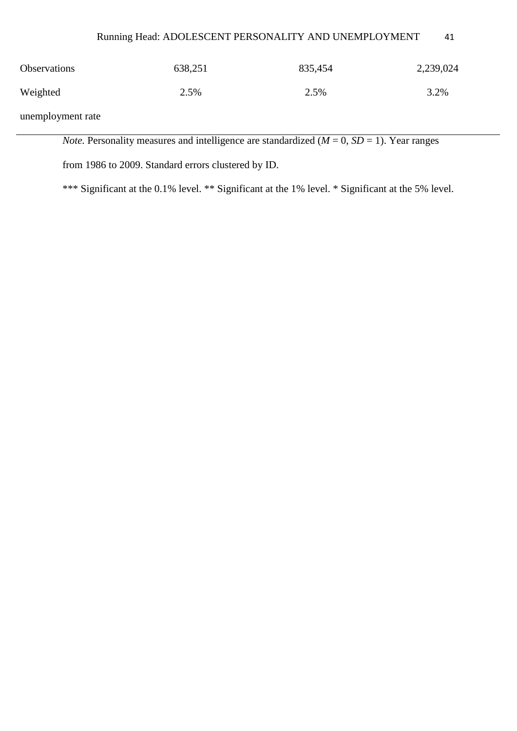| Observations      | 638,251 | 835,454 | 2,239,024 |
|-------------------|---------|---------|-----------|
| Weighted          | 2.5%    | 2.5%    | 3.2%      |
| unemployment rate |         |         |           |

*Note.* Personality measures and intelligence are standardized  $(M = 0, SD = 1)$ . Year ranges

from 1986 to 2009. Standard errors clustered by ID.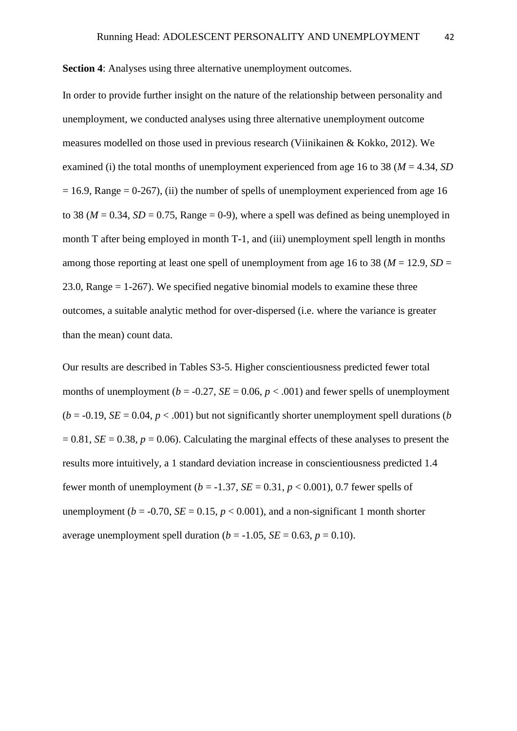**Section 4**: Analyses using three alternative unemployment outcomes.

In order to provide further insight on the nature of the relationship between personality and unemployment, we conducted analyses using three alternative unemployment outcome measures modelled on those used in previous research (Viinikainen & Kokko, 2012). We examined (i) the total months of unemployment experienced from age 16 to 38 (*M* = 4.34, *SD*  $= 16.9$ , Range  $= 0.267$ ), (ii) the number of spells of unemployment experienced from age 16 to 38 ( $M = 0.34$ ,  $SD = 0.75$ , Range = 0-9), where a spell was defined as being unemployed in month T after being employed in month T-1, and (iii) unemployment spell length in months among those reporting at least one spell of unemployment from age 16 to 38 ( $M = 12.9$ ,  $SD =$ 23.0, Range = 1-267). We specified negative binomial models to examine these three outcomes, a suitable analytic method for over-dispersed (i.e. where the variance is greater than the mean) count data.

Our results are described in Tables S3-5. Higher conscientiousness predicted fewer total months of unemployment ( $b = -0.27$ ,  $SE = 0.06$ ,  $p < .001$ ) and fewer spells of unemployment  $(b = -0.19, SE = 0.04, p < .001)$  but not significantly shorter unemployment spell durations (*b*)  $= 0.81$ , *SE* = 0.38, *p* = 0.06). Calculating the marginal effects of these analyses to present the results more intuitively, a 1 standard deviation increase in conscientiousness predicted 1.4 fewer month of unemployment ( $b = -1.37$ ,  $SE = 0.31$ ,  $p < 0.001$ ), 0.7 fewer spells of unemployment ( $b = -0.70$ ,  $SE = 0.15$ ,  $p < 0.001$ ), and a non-significant 1 month shorter average unemployment spell duration ( $b = -1.05$ ,  $SE = 0.63$ ,  $p = 0.10$ ).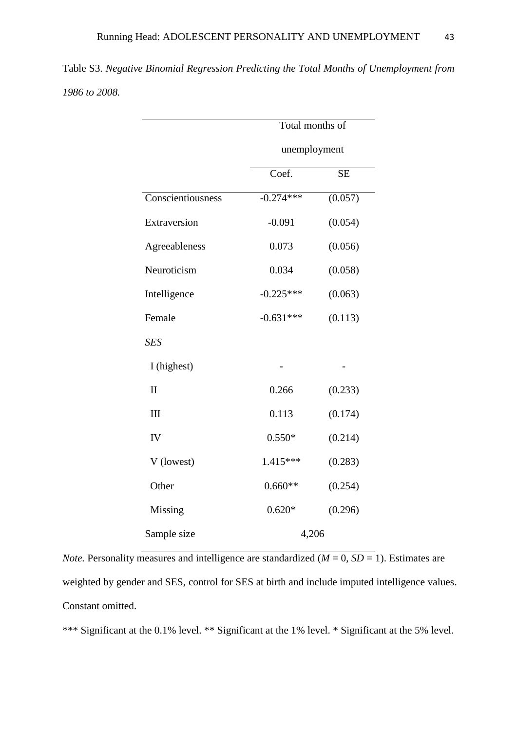| Table S3. Negative Binomial Regression Predicting the Total Months of Unemployment from |  |
|-----------------------------------------------------------------------------------------|--|
| 1986 to 2008.                                                                           |  |

|                   | Total months of |           |  |  |
|-------------------|-----------------|-----------|--|--|
|                   | unemployment    |           |  |  |
|                   | Coef.           | <b>SE</b> |  |  |
| Conscientiousness | $-0.274***$     | (0.057)   |  |  |
| Extraversion      | $-0.091$        | (0.054)   |  |  |
| Agreeableness     | 0.073           | (0.056)   |  |  |
| Neuroticism       | 0.034           | (0.058)   |  |  |
| Intelligence      | $-0.225***$     | (0.063)   |  |  |
| Female            | $-0.631***$     | (0.113)   |  |  |
| SES               |                 |           |  |  |
| I (highest)       |                 |           |  |  |
| $\mathbf{I}$      | 0.266           | (0.233)   |  |  |
| III               | 0.113           | (0.174)   |  |  |
| IV                | $0.550*$        | (0.214)   |  |  |
| V (lowest)        | 1.415***        | (0.283)   |  |  |
| Other             | $0.660**$       | (0.254)   |  |  |
| Missing           | $0.620*$        | (0.296)   |  |  |
| Sample size       | 4,206           |           |  |  |

*Note.* Personality measures and intelligence are standardized  $(M = 0, SD = 1)$ . Estimates are weighted by gender and SES, control for SES at birth and include imputed intelligence values. Constant omitted.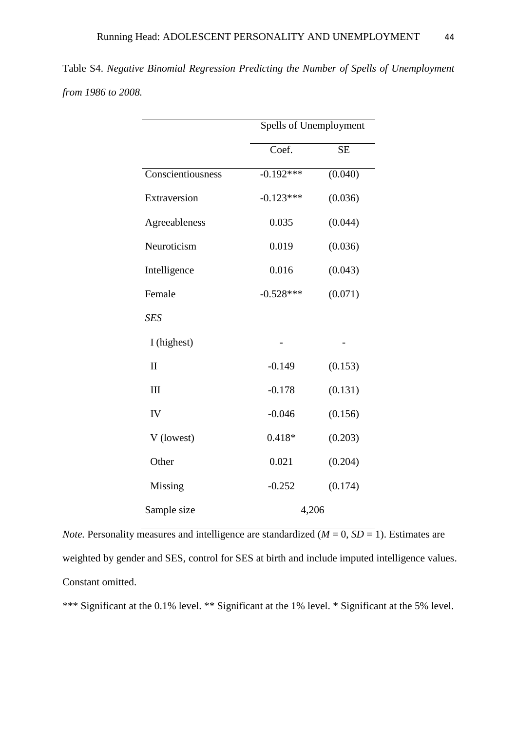|                   | Spells of Unemployment |           |
|-------------------|------------------------|-----------|
|                   | Coef.                  | <b>SE</b> |
| Conscientiousness | $-0.192***$            | (0.040)   |
| Extraversion      | $-0.123***$            | (0.036)   |
| Agreeableness     | 0.035                  | (0.044)   |
| Neuroticism       | 0.019                  | (0.036)   |
| Intelligence      | 0.016                  | (0.043)   |
| Female            | $-0.528***$            | (0.071)   |
| <b>SES</b>        |                        |           |
| I (highest)       |                        |           |
| $\mathbf{I}$      | $-0.149$               | (0.153)   |
| III               | $-0.178$               | (0.131)   |
| IV                | $-0.046$               | (0.156)   |
| V (lowest)        | $0.418*$               | (0.203)   |
| Other             | 0.021                  | (0.204)   |
| Missing           | $-0.252$               | (0.174)   |
| Sample size       | 4,206                  |           |

Table S4. *Negative Binomial Regression Predicting the Number of Spells of Unemployment from 1986 to 2008.*

*Note.* Personality measures and intelligence are standardized  $(M = 0, SD = 1)$ . Estimates are weighted by gender and SES, control for SES at birth and include imputed intelligence values. Constant omitted.